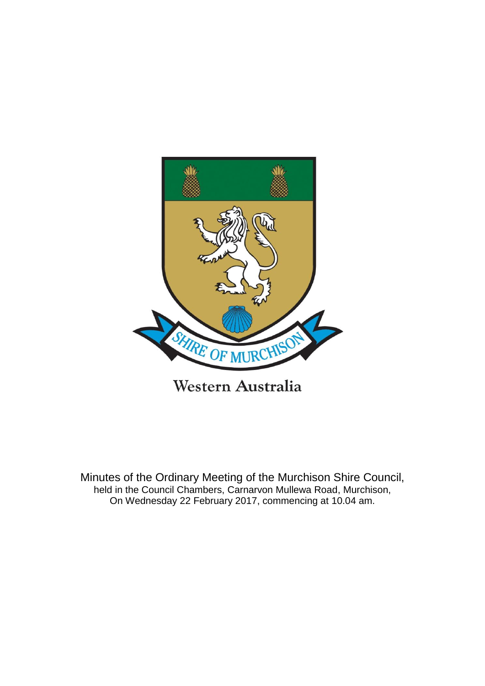

Western Australia

Minutes of the Ordinary Meeting of the Murchison Shire Council, held in the Council Chambers, Carnarvon Mullewa Road, Murchison, On Wednesday 22 February 2017, commencing at 10.04 am.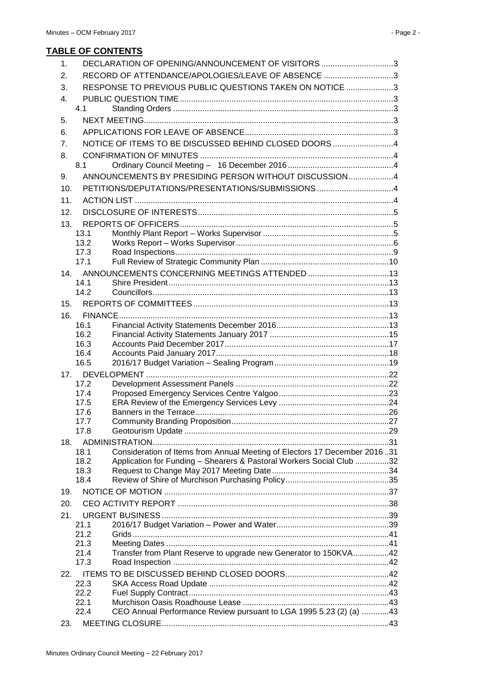## **TABLE OF CONTENTS**

| 1.  |              | DECLARATION OF OPENING/ANNOUNCEMENT OF VISITORS 3                         |  |
|-----|--------------|---------------------------------------------------------------------------|--|
| 2.  |              | RECORD OF ATTENDANCE/APOLOGIES/LEAVE OF ABSENCE 3                         |  |
| 3.  |              | RESPONSE TO PREVIOUS PUBLIC QUESTIONS TAKEN ON NOTICE 3                   |  |
| 4.  |              |                                                                           |  |
|     | 4.1          |                                                                           |  |
| 5.  |              |                                                                           |  |
| 6.  |              |                                                                           |  |
|     |              | NOTICE OF ITEMS TO BE DISCUSSED BEHIND CLOSED DOORS4                      |  |
| 7.  |              |                                                                           |  |
| 8.  | 8.1          |                                                                           |  |
|     |              | ANNOUNCEMENTS BY PRESIDING PERSON WITHOUT DISCUSSION4                     |  |
| 9.  |              |                                                                           |  |
| 10. |              | PETITIONS/DEPUTATIONS/PRESENTATIONS/SUBMISSIONS4                          |  |
| 11. |              |                                                                           |  |
| 12. |              |                                                                           |  |
| 13. |              |                                                                           |  |
|     | 13.1         |                                                                           |  |
|     | 13.2         |                                                                           |  |
|     | 17.3<br>17.1 |                                                                           |  |
|     |              |                                                                           |  |
|     | 14.1         | 14. ANNOUNCEMENTS CONCERNING MEETINGS ATTENDED 13                         |  |
|     | 14.2         |                                                                           |  |
| 15. |              |                                                                           |  |
|     |              |                                                                           |  |
| 16. | 16.1         |                                                                           |  |
|     | 16.2         |                                                                           |  |
|     | 16.3         |                                                                           |  |
|     | 16.4         |                                                                           |  |
|     | 16.5         |                                                                           |  |
|     |              |                                                                           |  |
|     | 17.2         |                                                                           |  |
|     | 17.4         |                                                                           |  |
|     | 17.5         |                                                                           |  |
|     | 17.6<br>17.7 |                                                                           |  |
|     | 17.8         |                                                                           |  |
| 18. |              |                                                                           |  |
|     | 18.1         | Consideration of Items from Annual Meeting of Electors 17 December 201631 |  |
|     | 18.2         | Application for Funding - Shearers & Pastoral Workers Social Club 32      |  |
|     | 18.3         |                                                                           |  |
|     | 18.4         |                                                                           |  |
| 19. |              |                                                                           |  |
| 20. |              |                                                                           |  |
| 21. |              |                                                                           |  |
|     | 21.1         |                                                                           |  |
|     | 21.2         |                                                                           |  |
|     | 21.3         |                                                                           |  |
|     | 21.4         | Transfer from Plant Reserve to upgrade new Generator to 150KVA42          |  |
|     | 17.3         |                                                                           |  |
| 22. |              |                                                                           |  |
|     | 22.3         |                                                                           |  |
|     | 22.2<br>22.1 |                                                                           |  |
|     | 22.4         | CEO Annual Performance Review pursuant to LGA 1995 5.23 (2) (a) 43        |  |
| 23. |              |                                                                           |  |
|     |              |                                                                           |  |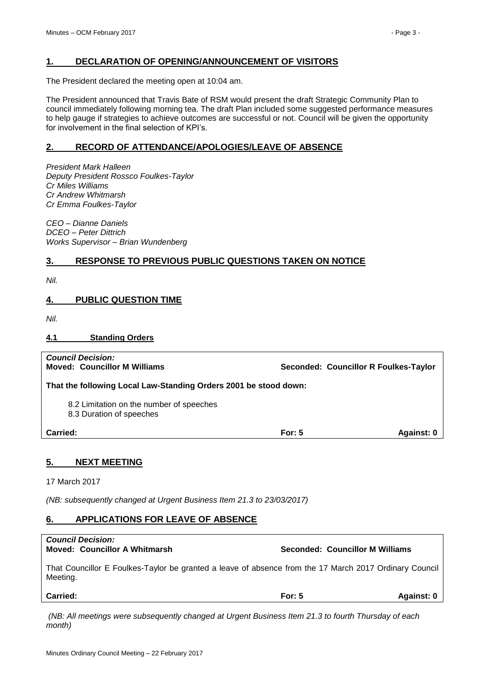## <span id="page-2-0"></span>**1. DECLARATION OF OPENING/ANNOUNCEMENT OF VISITORS**

The President declared the meeting open at 10:04 am.

The President announced that Travis Bate of RSM would present the draft Strategic Community Plan to council immediately following morning tea. The draft Plan included some suggested performance measures to help gauge if strategies to achieve outcomes are successful or not. Council will be given the opportunity for involvement in the final selection of KPI's.

## <span id="page-2-1"></span>**2. RECORD OF ATTENDANCE/APOLOGIES/LEAVE OF ABSENCE**

*President Mark Halleen Deputy President Rossco Foulkes-Taylor Cr Miles Williams Cr Andrew Whitmarsh Cr Emma Foulkes-Taylor*

*CEO – Dianne Daniels DCEO – Peter Dittrich Works Supervisor – Brian Wundenberg*

## <span id="page-2-2"></span>**3. RESPONSE TO PREVIOUS PUBLIC QUESTIONS TAKEN ON NOTICE**

*Nil.*

## <span id="page-2-3"></span>**4. PUBLIC QUESTION TIME**

*Nil.*

## <span id="page-2-4"></span>**4.1 Standing Orders**

| <b>Council Decision:</b><br><b>Moved: Councillor M Williams</b>      |          | Seconded: Councillor R Foulkes-Taylor |
|----------------------------------------------------------------------|----------|---------------------------------------|
| That the following Local Law-Standing Orders 2001 be stood down:     |          |                                       |
| 8.2 Limitation on the number of speeches<br>8.3 Duration of speeches |          |                                       |
| Carried:                                                             | For: $5$ | Against: 0                            |

## <span id="page-2-5"></span>**5. NEXT MEETING**

17 March 2017

*(NB: subsequently changed at Urgent Business Item 21.3 to 23/03/2017)*

## <span id="page-2-6"></span>**6. APPLICATIONS FOR LEAVE OF ABSENCE**

# *Council Decision:* **Moved: Councillor A Whitmarsh Seconded: Councillor M Williams** That Councillor E Foulkes-Taylor be granted a leave of absence from the 17 March 2017 Ordinary Council Meeting.

| <b>Carried:</b> | For: 5 | Aqainst: 0 |
|-----------------|--------|------------|
|                 |        |            |

*(NB: All meetings were subsequently changed at Urgent Business Item 21.3 to fourth Thursday of each month)*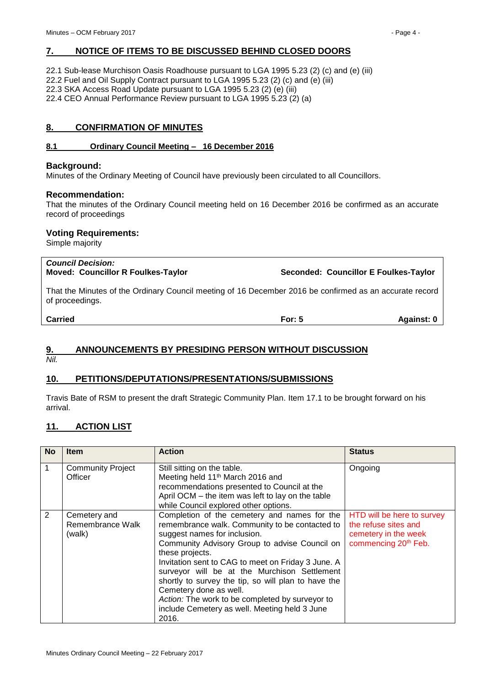## <span id="page-3-0"></span>**7. NOTICE OF ITEMS TO BE DISCUSSED BEHIND CLOSED DOORS**

22.1 Sub-lease Murchison Oasis Roadhouse pursuant to LGA 1995 5.23 (2) (c) and (e) (iii)

22.2 Fuel and Oil Supply Contract pursuant to LGA 1995 5.23 (2) (c) and (e) (iii)

22.3 SKA Access Road Update pursuant to LGA 1995 5.23 (2) (e) (iii)

22.4 CEO Annual Performance Review pursuant to LGA 1995 5.23 (2) (a)

## <span id="page-3-1"></span>**8. CONFIRMATION OF MINUTES**

## <span id="page-3-2"></span>**8.1 Ordinary Council Meeting – 16 December 2016**

## **Background:**

Minutes of the Ordinary Meeting of Council have previously been circulated to all Councillors.

## **Recommendation:**

That the minutes of the Ordinary Council meeting held on 16 December 2016 be confirmed as an accurate record of proceedings

## **Voting Requirements:**

Simple majority

# *Council Decision:*

**Moved: Councillor R Foulkes-Taylor Seconded: Councillor E Foulkes-Taylor**

That the Minutes of the Ordinary Council meeting of 16 December 2016 be confirmed as an accurate record of proceedings.

**Carried For: 5 Against: 0**

## <span id="page-3-3"></span>**9. ANNOUNCEMENTS BY PRESIDING PERSON WITHOUT DISCUSSION**

*Nil.*

## <span id="page-3-4"></span>**10. PETITIONS/DEPUTATIONS/PRESENTATIONS/SUBMISSIONS**

Travis Bate of RSM to present the draft Strategic Community Plan. Item 17.1 to be brought forward on his arrival.

## <span id="page-3-5"></span>**11. ACTION LIST**

| <b>No</b>      | <b>Item</b>                                | <b>Action</b>                                                                                                                                                                                                                                                                                                                                                                                                                                                                                          | <b>Status</b>                                                                                                  |
|----------------|--------------------------------------------|--------------------------------------------------------------------------------------------------------------------------------------------------------------------------------------------------------------------------------------------------------------------------------------------------------------------------------------------------------------------------------------------------------------------------------------------------------------------------------------------------------|----------------------------------------------------------------------------------------------------------------|
| $\mathbf{1}$   | <b>Community Project</b><br>Officer        | Still sitting on the table.<br>Meeting held 11 <sup>th</sup> March 2016 and<br>recommendations presented to Council at the<br>April OCM - the item was left to lay on the table<br>while Council explored other options.                                                                                                                                                                                                                                                                               | Ongoing                                                                                                        |
| $\overline{2}$ | Cemetery and<br>Remembrance Walk<br>(walk) | Completion of the cemetery and names for the<br>remembrance walk. Community to be contacted to<br>suggest names for inclusion.<br>Community Advisory Group to advise Council on<br>these projects.<br>Invitation sent to CAG to meet on Friday 3 June. A<br>surveyor will be at the Murchison Settlement<br>shortly to survey the tip, so will plan to have the<br>Cemetery done as well.<br>Action: The work to be completed by surveyor to<br>include Cemetery as well. Meeting held 3 June<br>2016. | HTD will be here to survey<br>the refuse sites and<br>cemetery in the week<br>commencing 20 <sup>th</sup> Feb. |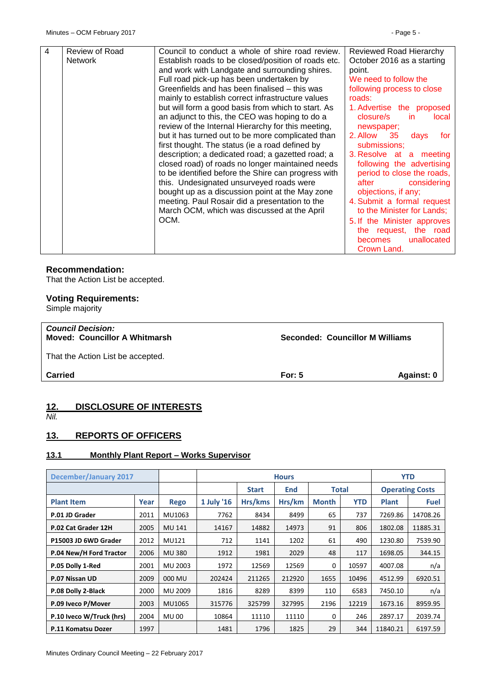| $\overline{4}$ | Review of Road<br><b>Network</b> | Council to conduct a whole of shire road review.<br>Establish roads to be closed/position of roads etc.<br>and work with Landgate and surrounding shires.<br>Full road pick-up has been undertaken by<br>Greenfields and has been finalised – this was<br>mainly to establish correct infrastructure values<br>but will form a good basis from which to start. As<br>an adjunct to this, the CEO was hoping to do a<br>review of the Internal Hierarchy for this meeting,<br>but it has turned out to be more complicated than<br>first thought. The status (ie a road defined by<br>description; a dedicated road; a gazetted road; a<br>closed road) of roads no longer maintained needs<br>to be identified before the Shire can progress with<br>this. Undesignated unsurveyed roads were<br>bought up as a discussion point at the May zone<br>meeting. Paul Rosair did a presentation to the<br>March OCM, which was discussed at the April<br>OCM. | Reviewed Road Hierarchy<br>October 2016 as a starting<br>point.<br>We need to follow the<br>following process to close<br>roads:<br>1. Advertise the proposed<br>closure/s<br>in.<br>local<br>newspaper;<br>2. Allow 35<br>days<br>tor<br>submissions;<br>3. Resolve at a meeting<br>following the advertising<br>period to close the roads,<br>after<br>considering<br>objections, if any;<br>4. Submit a formal request<br>to the Minister for Lands;<br>5. If the Minister approves<br>the request, the road<br>unallocated<br>becomes |
|----------------|----------------------------------|-----------------------------------------------------------------------------------------------------------------------------------------------------------------------------------------------------------------------------------------------------------------------------------------------------------------------------------------------------------------------------------------------------------------------------------------------------------------------------------------------------------------------------------------------------------------------------------------------------------------------------------------------------------------------------------------------------------------------------------------------------------------------------------------------------------------------------------------------------------------------------------------------------------------------------------------------------------|-------------------------------------------------------------------------------------------------------------------------------------------------------------------------------------------------------------------------------------------------------------------------------------------------------------------------------------------------------------------------------------------------------------------------------------------------------------------------------------------------------------------------------------------|
|                |                                  |                                                                                                                                                                                                                                                                                                                                                                                                                                                                                                                                                                                                                                                                                                                                                                                                                                                                                                                                                           | Crown Land.                                                                                                                                                                                                                                                                                                                                                                                                                                                                                                                               |
|                |                                  |                                                                                                                                                                                                                                                                                                                                                                                                                                                                                                                                                                                                                                                                                                                                                                                                                                                                                                                                                           |                                                                                                                                                                                                                                                                                                                                                                                                                                                                                                                                           |

### **Recommendation:**

That the Action List be accepted.

# **Voting Requirements:**

Simple majority

# *Council Decision:* **Moved: Councillor A Whitmarsh Seconded: Councillor M Williams** That the Action List be accepted. **Carried For: 5 Against: 0**

## <span id="page-4-0"></span>**12. DISCLOSURE OF INTERESTS** *Nil.*

## <span id="page-4-1"></span>**13. REPORTS OF OFFICERS**

## <span id="page-4-2"></span>**13.1 Monthly Plant Report – Works Supervisor**

| December/January 2017    |      | <b>Hours</b>  |            |                                            |        |                        | <b>YTD</b> |              |             |
|--------------------------|------|---------------|------------|--------------------------------------------|--------|------------------------|------------|--------------|-------------|
|                          |      |               |            | <b>Total</b><br><b>Start</b><br><b>End</b> |        | <b>Operating Costs</b> |            |              |             |
| <b>Plant Item</b>        | Year | <b>Rego</b>   | 1 July '16 | Hrs/kms                                    | Hrs/km | <b>Month</b>           | YTD        | <b>Plant</b> | <b>Fuel</b> |
| P.01 JD Grader           | 2011 | MU1063        | 7762       | 8434                                       | 8499   | 65                     | 737        | 7269.86      | 14708.26    |
| P.02 Cat Grader 12H      | 2005 | <b>MU 141</b> | 14167      | 14882                                      | 14973  | 91                     | 806        | 1802.08      | 11885.31    |
| P15003 JD 6WD Grader     | 2012 | MU121         | 712        | 1141                                       | 1202   | 61                     | 490        | 1230.80      | 7539.90     |
| P.04 New/H Ford Tractor  | 2006 | <b>MU380</b>  | 1912       | 1981                                       | 2029   | 48                     | 117        | 1698.05      | 344.15      |
| P.05 Dolly 1-Red         | 2001 | MU 2003       | 1972       | 12569                                      | 12569  | 0                      | 10597      | 4007.08      | n/a         |
| P.07 Nissan UD           | 2009 | 000 MU        | 202424     | 211265                                     | 212920 | 1655                   | 10496      | 4512.99      | 6920.51     |
| P.08 Dolly 2-Black       | 2000 | MU 2009       | 1816       | 8289                                       | 8399   | 110                    | 6583       | 7450.10      | n/a         |
| P.09 Iveco P/Mover       | 2003 | MU1065        | 315776     | 325799                                     | 327995 | 2196                   | 12219      | 1673.16      | 8959.95     |
| P.10 Iveco W/Truck (hrs) | 2004 | <b>MU 00</b>  | 10864      | 11110                                      | 11110  | 0                      | 246        | 2897.17      | 2039.74     |
| P.11 Komatsu Dozer       | 1997 |               | 1481       | 1796                                       | 1825   | 29                     | 344        | 11840.21     | 6197.59     |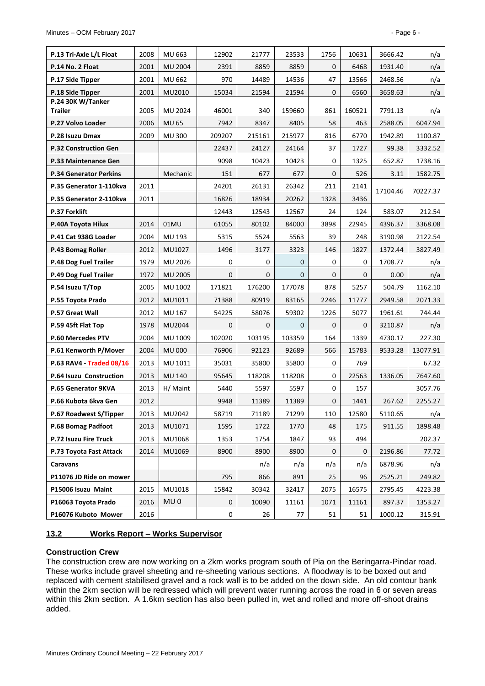| P.13 Tri-Axle L/L Float       | 2008 | MU 663          | 12902        | 21777        | 23533        | 1756         | 10631        | 3666.42  | n/a      |
|-------------------------------|------|-----------------|--------------|--------------|--------------|--------------|--------------|----------|----------|
| P.14 No. 2 Float              | 2001 | <b>MU 2004</b>  | 2391         | 8859         | 8859         | $\mathbf{0}$ | 6468         | 1931.40  | n/a      |
| P.17 Side Tipper              | 2001 | MU 662          | 970          | 14489        | 14536        | 47           | 13566        | 2468.56  | n/a      |
| P.18 Side Tipper              | 2001 | MU2010          | 15034        | 21594        | 21594        | $\mathbf{0}$ | 6560         | 3658.63  | n/a      |
| P.24 30K W/Tanker<br>Trailer  | 2005 | MU 2024         | 46001        | 340          | 159660       | 861          | 160521       | 7791.13  | n/a      |
| P.27 Volvo Loader             | 2006 | <b>MU 65</b>    | 7942         | 8347         | 8405         | 58           | 463          | 2588.05  | 6047.94  |
| P.28 Isuzu Dmax               | 2009 | <b>MU 300</b>   | 209207       | 215161       | 215977       | 816          | 6770         | 1942.89  | 1100.87  |
| <b>P.32 Construction Gen</b>  |      |                 | 22437        | 24127        | 24164        | 37           | 1727         | 99.38    | 3332.52  |
| P.33 Maintenance Gen          |      |                 | 9098         | 10423        | 10423        | $\mathbf 0$  | 1325         | 652.87   | 1738.16  |
| <b>P.34 Generator Perkins</b> |      | Mechanic        | 151          | 677          | 677          | $\mathbf 0$  | 526          | 3.11     | 1582.75  |
| P.35 Generator 1-110kva       | 2011 |                 | 24201        | 26131        | 26342        | 211          | 2141         |          |          |
| P.35 Generator 2-110kva       | 2011 |                 | 16826        | 18934        | 20262        | 1328         | 3436         | 17104.46 | 70227.37 |
| P.37 Forklift                 |      |                 | 12443        | 12543        | 12567        | 24           | 124          | 583.07   | 212.54   |
| P.40A Toyota Hilux            | 2014 | 01MU            | 61055        | 80102        | 84000        | 3898         | 22945        | 4396.37  | 3368.08  |
| P.41 Cat 938G Loader          | 2004 | MU 193          | 5315         | 5524         | 5563         | 39           | 248          | 3190.98  | 2122.54  |
| P.43 Bomag Roller             | 2012 | MU1027          | 1496         | 3177         | 3323         | 146          | 1827         | 1372.44  | 3827.49  |
| P.48 Dog Fuel Trailer         | 1979 | MU 2026         | 0            | 0            | $\mathbf{0}$ | 0            | 0            | 1708.77  | n/a      |
| P.49 Dog Fuel Trailer         | 1972 | MU 2005         | $\mathbf 0$  | $\mathbf 0$  | $\mathbf{0}$ | $\mathbf{0}$ | $\mathbf{0}$ | 0.00     | n/a      |
| P.54 Isuzu T/Top              | 2005 | MU 1002         | 171821       | 176200       | 177078       | 878          | 5257         | 504.79   | 1162.10  |
| P.55 Toyota Prado             | 2012 | MU1011          | 71388        | 80919        | 83165        | 2246         | 11777        | 2949.58  | 2071.33  |
| P.57 Great Wall               | 2012 | MU 167          | 54225        | 58076        | 59302        | 1226         | 5077         | 1961.61  | 744.44   |
| P.59 45ft Flat Top            | 1978 | MU2044          | $\mathbf{0}$ | $\mathbf{0}$ | $\mathbf{0}$ | $\mathbf{0}$ | 0            | 3210.87  | n/a      |
| <b>P.60 Mercedes PTV</b>      | 2004 | MU 1009         | 102020       | 103195       | 103359       | 164          | 1339         | 4730.17  | 227.30   |
| P.61 Kenworth P/Mover         | 2004 | <b>MU 000</b>   | 76906        | 92123        | 92689        | 566          | 15783        | 9533.28  | 13077.91 |
| P.63 RAV4 - Traded 08/16      | 2013 | MU 1011         | 35031        | 35800        | 35800        | 0            | 769          |          | 67.32    |
| P.64 Isuzu Construction       | 2013 | <b>MU 140</b>   | 95645        | 118208       | 118208       | 0            | 22563        | 1336.05  | 7647.60  |
| P.65 Generator 9KVA           | 2013 | H/ Maint        | 5440         | 5597         | 5597         | 0            | 157          |          | 3057.76  |
| P.66 Kubota 6kva Gen          | 2012 |                 | 9948         | 11389        | 11389        | $\mathbf 0$  | 1441         | 267.62   | 2255.27  |
| P.67 Roadwest S/Tipper        | 2013 | MU2042          | 58719        | 71189        | 71299        | 110          | 12580        | 5110.65  | n/a      |
| P.68 Bomag Padfoot            | 2013 | MU1071          | 1595         | 1722         | 1770         | 48           | 175          | 911.55   | 1898.48  |
| P.72 Isuzu Fire Truck         | 2013 | MU1068          | 1353         | 1754         | 1847         | 93           | 494          |          | 202.37   |
| P.73 Toyota Fast Attack       | 2014 | MU1069          | 8900         | 8900         | 8900         | 0            | 0            | 2196.86  | 77.72    |
| Caravans                      |      |                 |              | n/a          | n/a          | n/a          | n/a          | 6878.96  | n/a      |
| P11076 JD Ride on mower       |      |                 | 795          | 866          | 891          | 25           | 96           | 2525.21  | 249.82   |
| P15006 Isuzu Maint            | 2015 | MU1018          | 15842        | 30342        | 32417        | 2075         | 16575        | 2795.45  | 4223.38  |
| P16063 Toyota Prado           | 2016 | MU <sub>0</sub> | 0            | 10090        | 11161        | 1071         | 11161        | 897.37   | 1353.27  |
| P16076 Kuboto Mower           | 2016 |                 | $\pmb{0}$    | 26           | 77           | 51           | 51           | 1000.12  | 315.91   |

## <span id="page-5-0"></span>**13.2 Works Report – Works Supervisor**

## **Construction Crew**

The construction crew are now working on a 2km works program south of Pia on the Beringarra-Pindar road. These works include gravel sheeting and re-sheeting various sections. A floodway is to be boxed out and replaced with cement stabilised gravel and a rock wall is to be added on the down side. An old contour bank within the 2km section will be redressed which will prevent water running across the road in 6 or seven areas within this 2km section. A 1.6km section has also been pulled in, wet and rolled and more off-shoot drains added.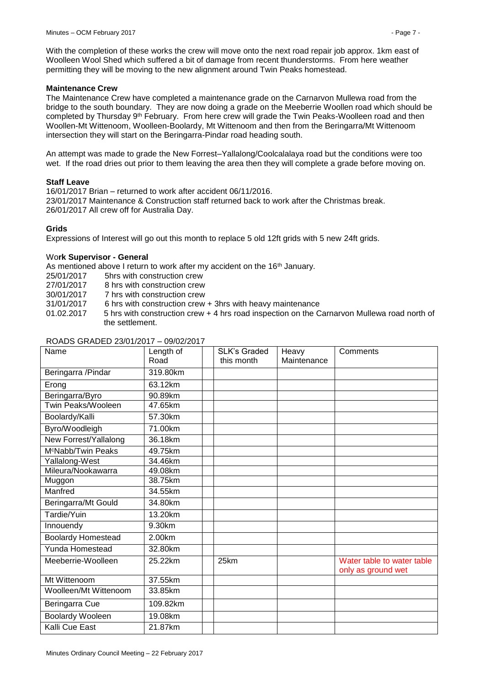With the completion of these works the crew will move onto the next road repair job approx. 1km east of Woolleen Wool Shed which suffered a bit of damage from recent thunderstorms. From here weather permitting they will be moving to the new alignment around Twin Peaks homestead.

## **Maintenance Crew**

The Maintenance Crew have completed a maintenance grade on the Carnarvon Mullewa road from the bridge to the south boundary. They are now doing a grade on the Meeberrie Woollen road which should be completed by Thursday 9<sup>th</sup> February. From here crew will grade the Twin Peaks-Woolleen road and then Woollen-Mt Wittenoom, Woolleen-Boolardy, Mt Wittenoom and then from the Beringarra/Mt Wittenoom intersection they will start on the Beringarra-Pindar road heading south.

An attempt was made to grade the New Forrest–Yallalong/Coolcalalaya road but the conditions were too wet. If the road dries out prior to them leaving the area then they will complete a grade before moving on.

### **Staff Leave**

16/01/2017 Brian – returned to work after accident 06/11/2016. 23/01/2017 Maintenance & Construction staff returned back to work after the Christmas break. 26/01/2017 All crew off for Australia Day.

## **Grids**

Expressions of Interest will go out this month to replace 5 old 12ft grids with 5 new 24ft grids.

### Wo**rk Supervisor - General**

As mentioned above I return to work after my accident on the 16<sup>th</sup> January.

- 25/01/2017 5hrs with construction crew
- 27/01/2017 8 hrs with construction crew
- 30/01/2017 7 hrs with construction crew
- 31/01/2017 6 hrs with construction crew + 3hrs with heavy maintenance
- 01.02.2017 5 hrs with construction crew + 4 hrs road inspection on the Carnarvon Mullewa road north of the settlement.

| Name                           | Length of | <b>SLK's Graded</b> | Heavy       | Comments                                         |
|--------------------------------|-----------|---------------------|-------------|--------------------------------------------------|
|                                | Road      | this month          | Maintenance |                                                  |
| Beringarra / Pindar            | 319.80km  |                     |             |                                                  |
| Erong                          | 63.12km   |                     |             |                                                  |
| Beringarra/Byro                | 90.89km   |                     |             |                                                  |
| Twin Peaks/Wooleen             | 47.65km   |                     |             |                                                  |
| Boolardy/Kalli                 | 57.30km   |                     |             |                                                  |
| Byro/Woodleigh                 | 71.00km   |                     |             |                                                  |
| New Forrest/Yallalong          | 36.18km   |                     |             |                                                  |
| M <sup>c</sup> Nabb/Twin Peaks | 49.75km   |                     |             |                                                  |
| Yallalong-West                 | 34.46km   |                     |             |                                                  |
| Mileura/Nookawarra             | 49.08km   |                     |             |                                                  |
| Muggon                         | 38.75km   |                     |             |                                                  |
| Manfred                        | 34.55km   |                     |             |                                                  |
| Beringarra/Mt Gould            | 34.80km   |                     |             |                                                  |
| Tardie/Yuin                    | 13.20km   |                     |             |                                                  |
| Innouendy                      | 9.30km    |                     |             |                                                  |
| <b>Boolardy Homestead</b>      | 2.00km    |                     |             |                                                  |
| Yunda Homestead                | 32.80km   |                     |             |                                                  |
| Meeberrie-Woolleen             | 25.22km   | 25km                |             | Water table to water table<br>only as ground wet |
| Mt Wittenoom                   | 37.55km   |                     |             |                                                  |
| Woolleen/Mt Wittenoom          | 33.85km   |                     |             |                                                  |
| Beringarra Cue                 | 109.82km  |                     |             |                                                  |
| <b>Boolardy Wooleen</b>        | 19.08km   |                     |             |                                                  |
| Kalli Cue East                 | 21.87km   |                     |             |                                                  |

### ROADS GRADED 23/01/2017 – 09/02/2017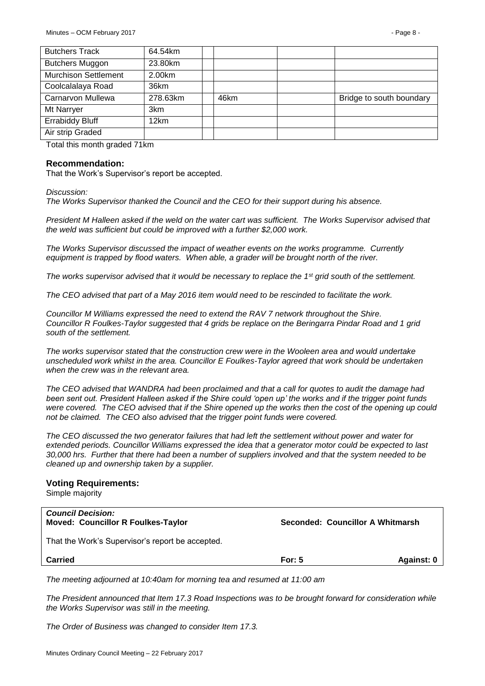| <b>Butchers Track</b>       | 64.54km  |      |                          |
|-----------------------------|----------|------|--------------------------|
| <b>Butchers Muggon</b>      | 23.80km  |      |                          |
| <b>Murchison Settlement</b> | 2.00km   |      |                          |
| Coolcalalaya Road           | 36km     |      |                          |
| Carnarvon Mullewa           | 278.63km | 46km | Bridge to south boundary |
|                             |          |      |                          |
| Mt Narryer                  | 3km      |      |                          |
| <b>Errabiddy Bluff</b>      | 12km     |      |                          |
| Air strip Graded            |          |      |                          |

Total this month graded 71km

#### **Recommendation:**

That the Work's Supervisor's report be accepted.

*Discussion:*

*The Works Supervisor thanked the Council and the CEO for their support during his absence.*

*President M Halleen asked if the weld on the water cart was sufficient. The Works Supervisor advised that the weld was sufficient but could be improved with a further \$2,000 work.*

*The Works Supervisor discussed the impact of weather events on the works programme. Currently equipment is trapped by flood waters. When able, a grader will be brought north of the river.*

*The works supervisor advised that it would be necessary to replace the 1st grid south of the settlement.*

*The CEO advised that part of a May 2016 item would need to be rescinded to facilitate the work.*

*Councillor M Williams expressed the need to extend the RAV 7 network throughout the Shire. Councillor R Foulkes-Taylor suggested that 4 grids be replace on the Beringarra Pindar Road and 1 grid south of the settlement.*

*The works supervisor stated that the construction crew were in the Wooleen area and would undertake unscheduled work whilst in the area. Councillor E Foulkes-Taylor agreed that work should be undertaken when the crew was in the relevant area.*

*The CEO advised that WANDRA had been proclaimed and that a call for quotes to audit the damage had been sent out. President Halleen asked if the Shire could 'open up' the works and if the trigger point funds were covered. The CEO advised that if the Shire opened up the works then the cost of the opening up could not be claimed. The CEO also advised that the trigger point funds were covered.*

*The CEO discussed the two generator failures that had left the settlement without power and water for extended periods. Councillor Williams expressed the idea that a generator motor could be expected to last 30,000 hrs. Further that there had been a number of suppliers involved and that the system needed to be cleaned up and ownership taken by a supplier.*

#### **Voting Requirements:**

Simple majority

| <b>Council Decision:</b><br><b>Moved: Councillor R Foulkes-Taylor</b> |          | Seconded: Councillor A Whitmarsh |
|-----------------------------------------------------------------------|----------|----------------------------------|
| That the Work's Supervisor's report be accepted.                      |          |                                  |
| Carried                                                               | For: $5$ | Against: 0                       |

*The meeting adjourned at 10:40am for morning tea and resumed at 11:00 am*

*The President announced that Item 17.3 Road Inspections was to be brought forward for consideration while the Works Supervisor was still in the meeting.*

*The Order of Business was changed to consider Item 17.3.*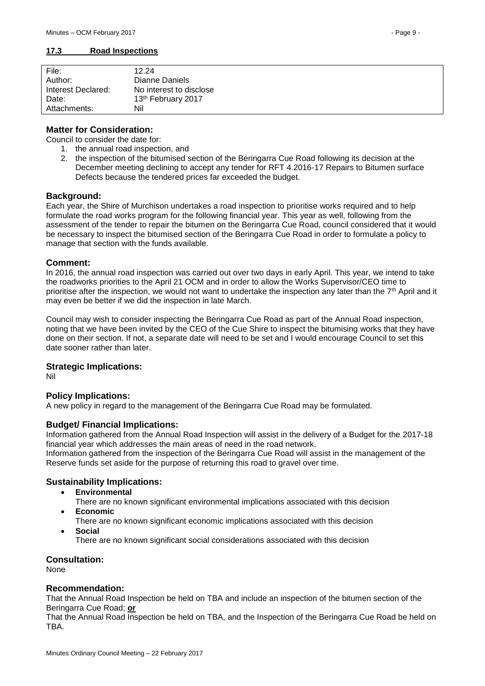#### <span id="page-8-0"></span>**17.3 Road Inspections**

| File:              | 12.24                   |
|--------------------|-------------------------|
| Author:            | Dianne Daniels          |
| Interest Declared: | No interest to disclose |
| Date:              | 13th February 2017      |
| Attachments:       | Nil                     |

## **Matter for Consideration:**

Council to consider the date for:

- 1. the annual road inspection, and
- 2. the inspection of the bitumised section of the Beringarra Cue Road following its decision at the December meeting declining to accept any tender for RFT 4.2016-17 Repairs to Bitumen surface Defects because the tendered prices far exceeded the budget.

### **Background:**

Each year, the Shire of Murchison undertakes a road inspection to prioritise works required and to help formulate the road works program for the following financial year. This year as well, following from the assessment of the tender to repair the bitumen on the Beringarra Cue Road, council considered that it would be necessary to inspect the bitumised section of the Beringarra Cue Road in order to formulate a policy to manage that section with the funds available.

### **Comment:**

In 2016, the annual road inspection was carried out over two days in early April. This year, we intend to take the roadworks priorities to the April 21 OCM and in order to allow the Works Supervisor/CEO time to prioritise after the inspection, we would not want to undertake the inspection any later than the 7<sup>th</sup> April and it may even be better if we did the inspection in late March.

Council may wish to consider inspecting the Beringarra Cue Road as part of the Annual Road inspection, noting that we have been invited by the CEO of the Cue Shire to inspect the bitumising works that they have done on their section. If not, a separate date will need to be set and I would encourage Council to set this date sooner rather than later.

#### **Strategic Implications:**

Nil

## **Policy Implications:**

A new policy in regard to the management of the Beringarra Cue Road may be formulated.

## **Budget/ Financial Implications:**

Information gathered from the Annual Road Inspection will assist in the delivery of a Budget for the 2017-18 financial year which addresses the main areas of need in the road network. Information gathered from the inspection of the Beringarra Cue Road will assist in the management of the Reserve funds set aside for the purpose of returning this road to gravel over time.

## **Sustainability Implications:**

- **Environmental**
	- There are no known significant environmental implications associated with this decision
- **Economic**
	- There are no known significant economic implications associated with this decision **Social**
		- There are no known significant social considerations associated with this decision

**Consultation:** 

None

## **Recommendation:**

That the Annual Road Inspection be held on TBA and include an inspection of the bitumen section of the Beringarra Cue Road; **or**

That the Annual Road Inspection be held on TBA, and the Inspection of the Beringarra Cue Road be held on TBA.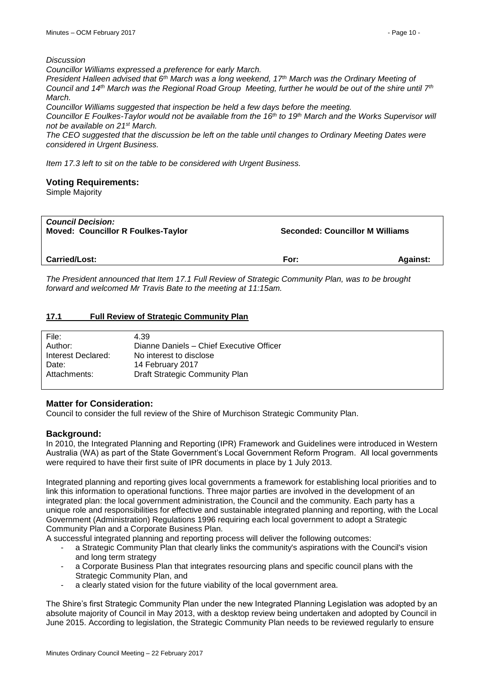*Discussion*

*Councillor Williams expressed a preference for early March.*

*President Halleen advised that 6th March was a long weekend, 17th March was the Ordinary Meeting of Council and 14th March was the Regional Road Group Meeting, further he would be out of the shire until 7th March.*

*Councillor Williams suggested that inspection be held a few days before the meeting.*

*Councillor E Foulkes-Taylor would not be available from the 16th to 19th March and the Works Supervisor will not be available on 21st March.*

*The CEO suggested that the discussion be left on the table until changes to Ordinary Meeting Dates were considered in Urgent Business.*

*Item 17.3 left to sit on the table to be considered with Urgent Business.*

## **Voting Requirements:**

Simple Majority

| <b>Council Decision:</b><br><b>Moved: Councillor R Foulkes-Taylor</b> | <b>Seconded: Councillor M Williams</b> |                 |
|-----------------------------------------------------------------------|----------------------------------------|-----------------|
| <b>Carried/Lost:</b>                                                  | For:                                   | <b>Against:</b> |

*The President announced that Item 17.1 Full Review of Strategic Community Plan, was to be brought forward and welcomed Mr Travis Bate to the meeting at 11:15am.* 

## <span id="page-9-0"></span>**17.1 Full Review of Strategic Community Plan**

| File:              | 4.39                                     |
|--------------------|------------------------------------------|
| Author:            | Dianne Daniels - Chief Executive Officer |
| Interest Declared: | No interest to disclose                  |
| Date:              | 14 February 2017                         |
| Attachments:       | Draft Strategic Community Plan           |
|                    |                                          |

## **Matter for Consideration:**

Council to consider the full review of the Shire of Murchison Strategic Community Plan.

## **Background:**

In 2010, the Integrated Planning and Reporting (IPR) Framework and Guidelines were introduced in Western Australia (WA) as part of the State Government's Local Government Reform Program. All local governments were required to have their first suite of IPR documents in place by 1 July 2013.

Integrated planning and reporting gives local governments a framework for establishing local priorities and to link this information to operational functions. Three major parties are involved in the development of an integrated plan: the local government administration, the Council and the community. Each party has a unique role and responsibilities for effective and sustainable integrated planning and reporting, with the Local Government (Administration) Regulations 1996 requiring each local government to adopt a Strategic Community Plan and a Corporate Business Plan.

A successful integrated planning and reporting process will deliver the following outcomes:

- a Strategic Community Plan that clearly links the community's aspirations with the Council's vision and long term strategy
- a Corporate Business Plan that integrates resourcing plans and specific council plans with the Strategic Community Plan, and
- a clearly stated vision for the future viability of the local government area.

The Shire's first Strategic Community Plan under the new Integrated Planning Legislation was adopted by an absolute majority of Council in May 2013, with a desktop review being undertaken and adopted by Council in June 2015. According to legislation, the Strategic Community Plan needs to be reviewed regularly to ensure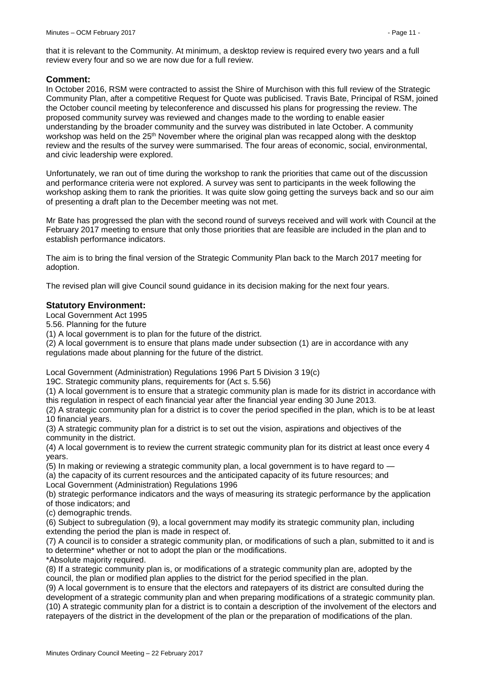that it is relevant to the Community. At minimum, a desktop review is required every two years and a full review every four and so we are now due for a full review.

## **Comment:**

In October 2016, RSM were contracted to assist the Shire of Murchison with this full review of the Strategic Community Plan, after a competitive Request for Quote was publicised. Travis Bate, Principal of RSM, joined the October council meeting by teleconference and discussed his plans for progressing the review. The proposed community survey was reviewed and changes made to the wording to enable easier understanding by the broader community and the survey was distributed in late October. A community workshop was held on the 25<sup>th</sup> November where the original plan was recapped along with the desktop review and the results of the survey were summarised. The four areas of economic, social, environmental, and civic leadership were explored.

Unfortunately, we ran out of time during the workshop to rank the priorities that came out of the discussion and performance criteria were not explored. A survey was sent to participants in the week following the workshop asking them to rank the priorities. It was quite slow going getting the surveys back and so our aim of presenting a draft plan to the December meeting was not met.

Mr Bate has progressed the plan with the second round of surveys received and will work with Council at the February 2017 meeting to ensure that only those priorities that are feasible are included in the plan and to establish performance indicators.

The aim is to bring the final version of the Strategic Community Plan back to the March 2017 meeting for adoption.

The revised plan will give Council sound guidance in its decision making for the next four years.

## **Statutory Environment:**

Local Government Act 1995

5.56. Planning for the future

(1) A local government is to plan for the future of the district.

(2) A local government is to ensure that plans made under subsection (1) are in accordance with any regulations made about planning for the future of the district.

Local Government (Administration) Regulations 1996 Part 5 Division 3 19(c)

19C. Strategic community plans, requirements for (Act s. 5.56)

(1) A local government is to ensure that a strategic community plan is made for its district in accordance with this regulation in respect of each financial year after the financial year ending 30 June 2013.

(2) A strategic community plan for a district is to cover the period specified in the plan, which is to be at least 10 financial years.

(3) A strategic community plan for a district is to set out the vision, aspirations and objectives of the community in the district.

(4) A local government is to review the current strategic community plan for its district at least once every 4 years.

(5) In making or reviewing a strategic community plan, a local government is to have regard to —

(a) the capacity of its current resources and the anticipated capacity of its future resources; and Local Government (Administration) Regulations 1996

(b) strategic performance indicators and the ways of measuring its strategic performance by the application of those indicators; and

(c) demographic trends.

(6) Subject to subregulation (9), a local government may modify its strategic community plan, including extending the period the plan is made in respect of.

(7) A council is to consider a strategic community plan, or modifications of such a plan, submitted to it and is to determine\* whether or not to adopt the plan or the modifications.

\*Absolute majority required.

(8) If a strategic community plan is, or modifications of a strategic community plan are, adopted by the council, the plan or modified plan applies to the district for the period specified in the plan.

(9) A local government is to ensure that the electors and ratepayers of its district are consulted during the development of a strategic community plan and when preparing modifications of a strategic community plan. (10) A strategic community plan for a district is to contain a description of the involvement of the electors and ratepayers of the district in the development of the plan or the preparation of modifications of the plan.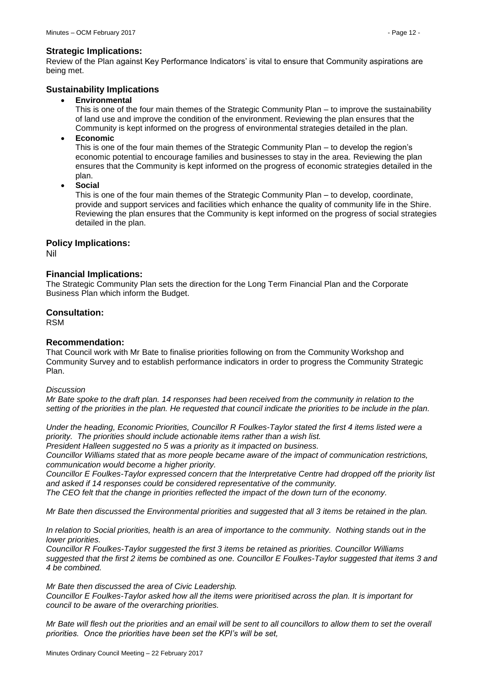#### **Strategic Implications:**

Review of the Plan against Key Performance Indicators' is vital to ensure that Community aspirations are being met.

## **Sustainability Implications**

**Environmental**

This is one of the four main themes of the Strategic Community Plan – to improve the sustainability of land use and improve the condition of the environment. Reviewing the plan ensures that the Community is kept informed on the progress of environmental strategies detailed in the plan.

**Economic**

This is one of the four main themes of the Strategic Community Plan – to develop the region's economic potential to encourage families and businesses to stay in the area. Reviewing the plan ensures that the Community is kept informed on the progress of economic strategies detailed in the plan.

**Social**

This is one of the four main themes of the Strategic Community Plan – to develop, coordinate, provide and support services and facilities which enhance the quality of community life in the Shire. Reviewing the plan ensures that the Community is kept informed on the progress of social strategies detailed in the plan.

## **Policy Implications:**

Nil

## **Financial Implications:**

The Strategic Community Plan sets the direction for the Long Term Financial Plan and the Corporate Business Plan which inform the Budget.

## **Consultation:**

RSM

## **Recommendation:**

That Council work with Mr Bate to finalise priorities following on from the Community Workshop and Community Survey and to establish performance indicators in order to progress the Community Strategic Plan.

#### *Discussion*

*Mr Bate spoke to the draft plan. 14 responses had been received from the community in relation to the setting of the priorities in the plan. He requested that council indicate the priorities to be include in the plan.*

*Under the heading, Economic Priorities, Councillor R Foulkes-Taylor stated the first 4 items listed were a priority. The priorities should include actionable items rather than a wish list.*

*President Halleen suggested no 5 was a priority as it impacted on business.*

*Councillor Williams stated that as more people became aware of the impact of communication restrictions, communication would become a higher priority.*

*Councillor E Foulkes-Taylor expressed concern that the Interpretative Centre had dropped off the priority list and asked if 14 responses could be considered representative of the community.*

*The CEO felt that the change in priorities reflected the impact of the down turn of the economy.*

*Mr Bate then discussed the Environmental priorities and suggested that all 3 items be retained in the plan.*

*In relation to Social priorities, health is an area of importance to the community. Nothing stands out in the lower priorities.*

*Councillor R Foulkes-Taylor suggested the first 3 items be retained as priorities. Councillor Williams suggested that the first 2 items be combined as one. Councillor E Foulkes-Taylor suggested that items 3 and 4 be combined.*

#### *Mr Bate then discussed the area of Civic Leadership.*

*Councillor E Foulkes-Taylor asked how all the items were prioritised across the plan. It is important for council to be aware of the overarching priorities.*

*Mr Bate will flesh out the priorities and an email will be sent to all councillors to allow them to set the overall priorities. Once the priorities have been set the KPI's will be set,*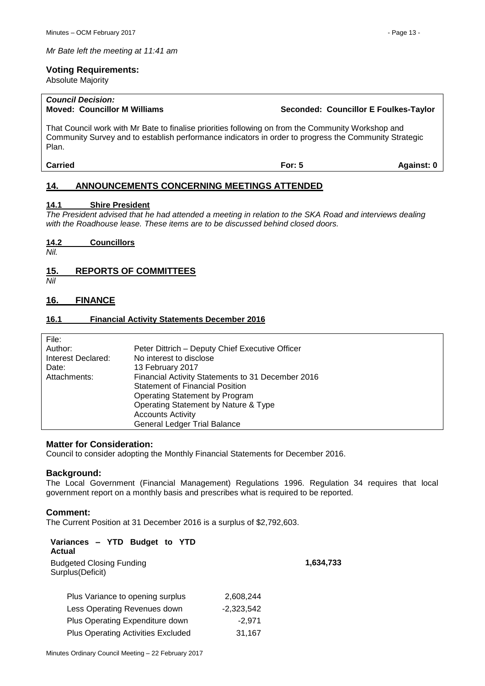#### **Voting Requirements:**

Absolute Majority

# *Council Decision:*

That Council work with Mr Bate to finalise priorities following on from the Community Workshop and Community Survey and to establish performance indicators in order to progress the Community Strategic Plan.

**Carried For: 5 Against: 0**

## <span id="page-12-0"></span>**14. ANNOUNCEMENTS CONCERNING MEETINGS ATTENDED**

## <span id="page-12-1"></span>**14.1 Shire President**

*The President advised that he had attended a meeting in relation to the SKA Road and interviews dealing with the Roadhouse lease. These items are to be discussed behind closed doors.*

<span id="page-12-2"></span>**14.2 Councillors**

*Nil.*

## <span id="page-12-3"></span>**15. REPORTS OF COMMITTEES**

*Nil*

## <span id="page-12-4"></span>**16. FINANCE**

### <span id="page-12-5"></span>**16.1 Financial Activity Statements December 2016**

| File:              |                                                   |
|--------------------|---------------------------------------------------|
| Author:            | Peter Dittrich - Deputy Chief Executive Officer   |
| Interest Declared: | No interest to disclose                           |
| Date:              | 13 February 2017                                  |
| Attachments:       | Financial Activity Statements to 31 December 2016 |
|                    | <b>Statement of Financial Position</b>            |
|                    | Operating Statement by Program                    |
|                    | Operating Statement by Nature & Type              |
|                    | <b>Accounts Activity</b>                          |
|                    | <b>General Ledger Trial Balance</b>               |

## **Matter for Consideration:**

Council to consider adopting the Monthly Financial Statements for December 2016.

#### **Background:**

The Local Government (Financial Management) Regulations 1996. Regulation 34 requires that local government report on a monthly basis and prescribes what is required to be reported.

## **Comment:**

The Current Position at 31 December 2016 is a surplus of \$2,792,603.

| Variances - YTD Budget to YTD<br>Actual             |              |           |
|-----------------------------------------------------|--------------|-----------|
| <b>Budgeted Closing Funding</b><br>Surplus(Deficit) |              | 1,634,733 |
| Plus Variance to opening surplus                    | 2,608,244    |           |
| Less Operating Revenues down                        | $-2,323,542$ |           |
| Plus Operating Expenditure down                     | $-2,971$     |           |
| <b>Plus Operating Activities Excluded</b>           | 31,167       |           |
|                                                     |              |           |

**Moved: Councillor M Williams Seconded: Councillor E Foulkes-Taylor**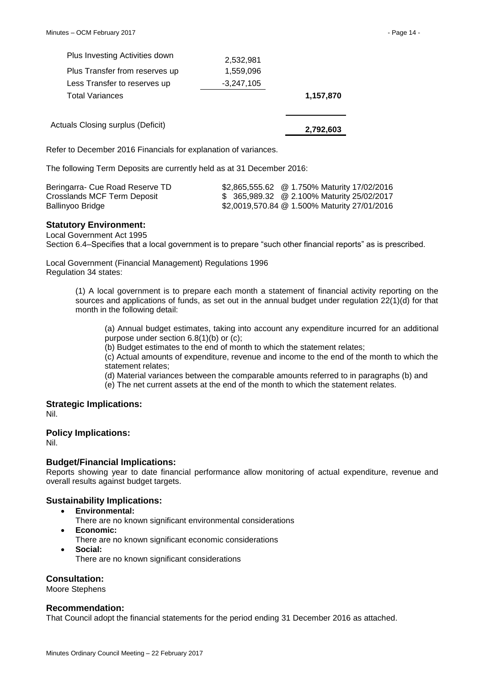| Plus Investing Activities down    | 2,532,981    |           |
|-----------------------------------|--------------|-----------|
| Plus Transfer from reserves up    | 1,559,096    |           |
| Less Transfer to reserves up      | $-3,247,105$ |           |
| <b>Total Variances</b>            |              | 1,157,870 |
|                                   |              |           |
| Actuals Closing surplus (Deficit) |              | 2.792.603 |

Refer to December 2016 Financials for explanation of variances.

The following Term Deposits are currently held as at 31 December 2016:

| Beringarra- Cue Road Reserve TD | \$2,865,555.62 @ 1.750% Maturity 17/02/2016  |
|---------------------------------|----------------------------------------------|
| Crosslands MCF Term Deposit     | \$ 365,989.32 @ 2.100% Maturity 25/02/2017   |
| Ballinyoo Bridge                | \$2,0019,570.84 @ 1.500% Maturity 27/01/2016 |

## **Statutory Environment:**

Local Government Act 1995 Section 6.4–Specifies that a local government is to prepare "such other financial reports" as is prescribed.

Local Government (Financial Management) Regulations 1996 Regulation 34 states:

> (1) A local government is to prepare each month a statement of financial activity reporting on the sources and applications of funds, as set out in the annual budget under regulation 22(1)(d) for that month in the following detail:

(a) Annual budget estimates, taking into account any expenditure incurred for an additional purpose under section 6.8(1)(b) or (c);

(b) Budget estimates to the end of month to which the statement relates;

(c) Actual amounts of expenditure, revenue and income to the end of the month to which the statement relates;

(d) Material variances between the comparable amounts referred to in paragraphs (b) and

(e) The net current assets at the end of the month to which the statement relates.

## **Strategic Implications:**

Nil.

## **Policy Implications:**

Nil.

## **Budget/Financial Implications:**

Reports showing year to date financial performance allow monitoring of actual expenditure, revenue and overall results against budget targets.

## **Sustainability Implications:**

- **Environmental:**
	- There are no known significant environmental considerations
- **Economic:** There are no known significant economic considerations
- **Social:** There are no known significant considerations

**Consultation:**

Moore Stephens

## **Recommendation:**

That Council adopt the financial statements for the period ending 31 December 2016 as attached.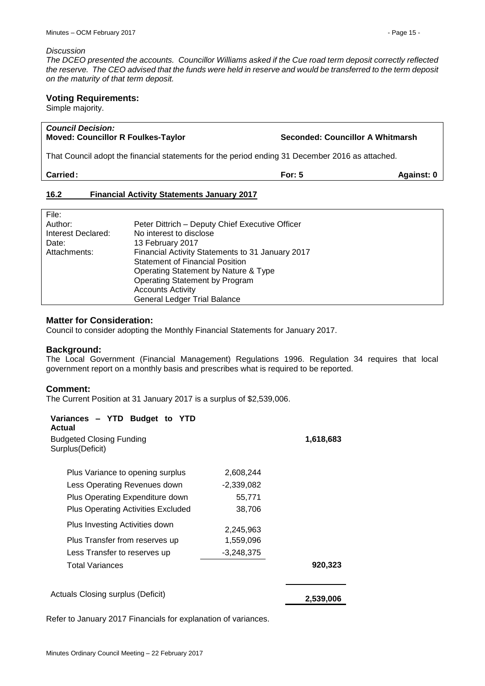#### *Discussion*

*The DCEO presented the accounts. Councillor Williams asked if the Cue road term deposit correctly reflected the reserve. The CEO advised that the funds were held in reserve and would be transferred to the term deposit on the maturity of that term deposit.*

## **Voting Requirements:**

Simple majority.

<span id="page-14-0"></span>File:

| <b>Council Decision:</b><br><b>Moved: Councillor R Foulkes-Taylor</b>                           | Seconded: Councillor A Whitmarsh |            |
|-------------------------------------------------------------------------------------------------|----------------------------------|------------|
| That Council adopt the financial statements for the period ending 31 December 2016 as attached. |                                  |            |
| <b>Carried:</b>                                                                                 | For: $5$                         | Against: 0 |
| <b>Financial Activity Statements January 2017</b><br>16.2                                       |                                  |            |

| FIIE:              |                                                  |
|--------------------|--------------------------------------------------|
| Author:            | Peter Dittrich - Deputy Chief Executive Officer  |
| Interest Declared: | No interest to disclose                          |
| Date:              | 13 February 2017                                 |
| Attachments:       | Financial Activity Statements to 31 January 2017 |
|                    | <b>Statement of Financial Position</b>           |
|                    | Operating Statement by Nature & Type             |
|                    | Operating Statement by Program                   |
|                    | <b>Accounts Activity</b>                         |
|                    | <b>General Ledger Trial Balance</b>              |
|                    |                                                  |

### **Matter for Consideration:**

Council to consider adopting the Monthly Financial Statements for January 2017.

## **Background:**

The Local Government (Financial Management) Regulations 1996. Regulation 34 requires that local government report on a monthly basis and prescribes what is required to be reported.

#### **Comment:**

The Current Position at 31 January 2017 is a surplus of \$2,539,006.

| Variances - YTD Budget to YTD<br>Actual             |              |           |
|-----------------------------------------------------|--------------|-----------|
| <b>Budgeted Closing Funding</b><br>Surplus(Deficit) |              | 1,618,683 |
| Plus Variance to opening surplus                    | 2,608,244    |           |
| Less Operating Revenues down                        | $-2,339,082$ |           |
| Plus Operating Expenditure down                     | 55,771       |           |
| <b>Plus Operating Activities Excluded</b>           | 38,706       |           |
| Plus Investing Activities down                      | 2,245,963    |           |
| Plus Transfer from reserves up                      | 1,559,096    |           |
| Less Transfer to reserves up                        | $-3,248,375$ |           |
| Total Variances                                     |              | 920,323   |
| Actuals Closing surplus (Deficit)                   |              | 2,539,006 |

Refer to January 2017 Financials for explanation of variances.

┑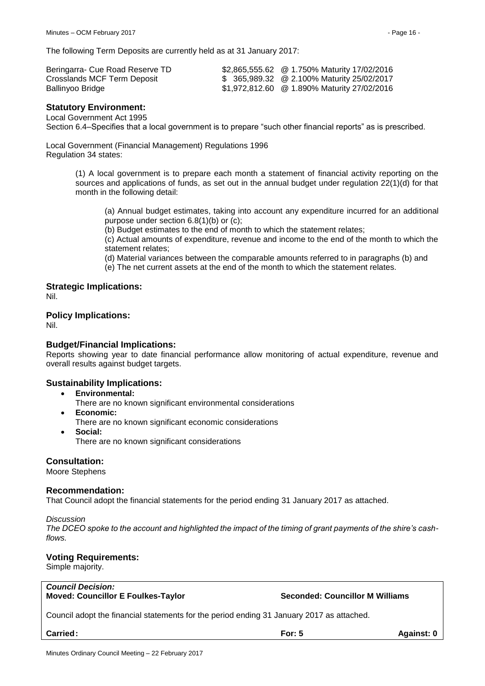The following Term Deposits are currently held as at 31 January 2017:

| Beringarra- Cue Road Reserve TD | \$2,865,555.62 @ 1.750% Maturity 17/02/2016 |
|---------------------------------|---------------------------------------------|
| Crosslands MCF Term Deposit     | \$ 365,989.32 @ 2.100% Maturity 25/02/2017  |
| Ballinyoo Bridge                | \$1,972,812.60 @ 1.890% Maturity 27/02/2016 |

## **Statutory Environment:**

Local Government Act 1995

Section 6.4–Specifies that a local government is to prepare "such other financial reports" as is prescribed.

Local Government (Financial Management) Regulations 1996 Regulation 34 states:

> (1) A local government is to prepare each month a statement of financial activity reporting on the sources and applications of funds, as set out in the annual budget under regulation 22(1)(d) for that month in the following detail:

(a) Annual budget estimates, taking into account any expenditure incurred for an additional purpose under section 6.8(1)(b) or (c);

(b) Budget estimates to the end of month to which the statement relates;

(c) Actual amounts of expenditure, revenue and income to the end of the month to which the statement relates;

(d) Material variances between the comparable amounts referred to in paragraphs (b) and

(e) The net current assets at the end of the month to which the statement relates.

#### **Strategic Implications:**

Nil.

## **Policy Implications:**

Nil.

#### **Budget/Financial Implications:**

Reports showing year to date financial performance allow monitoring of actual expenditure, revenue and overall results against budget targets.

#### **Sustainability Implications:**

- **Environmental:**
	- There are no known significant environmental considerations
- **Economic:** There are no known significant economic considerations
- **Social:** There are no known significant considerations

## **Consultation:**

Moore Stephens

#### **Recommendation:**

That Council adopt the financial statements for the period ending 31 January 2017 as attached.

#### *Discussion*

*The DCEO spoke to the account and highlighted the impact of the timing of grant payments of the shire's cashflows.*

#### **Voting Requirements:**

Simple majority.

*Council Decision:* **Moved: Councillor E Foulkes-Taylor Seconded: Councillor M Williams**

Council adopt the financial statements for the period ending 31 January 2017 as attached.

**Carried: For: 5 Against: 0**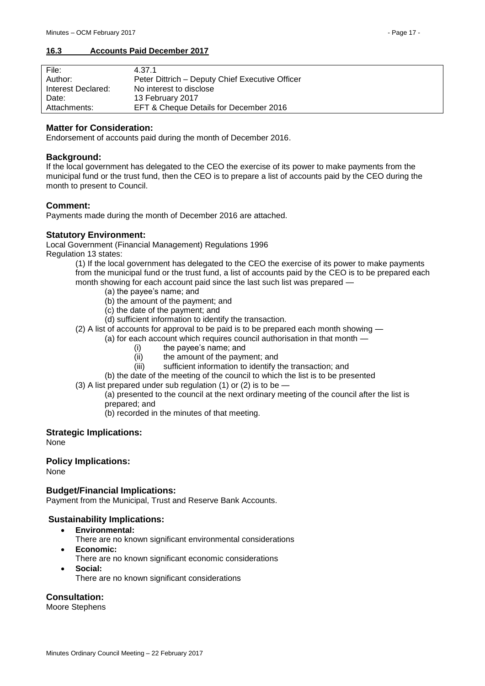## <span id="page-16-0"></span>**16.3 Accounts Paid December 2017**

| File:              | 4.37.1                                          |
|--------------------|-------------------------------------------------|
| Author:            | Peter Dittrich - Deputy Chief Executive Officer |
| Interest Declared: | No interest to disclose                         |
| Date:              | 13 February 2017                                |
| Attachments:       | EFT & Cheque Details for December 2016          |

## **Matter for Consideration:**

Endorsement of accounts paid during the month of December 2016.

## **Background:**

If the local government has delegated to the CEO the exercise of its power to make payments from the municipal fund or the trust fund, then the CEO is to prepare a list of accounts paid by the CEO during the month to present to Council.

## **Comment:**

Payments made during the month of December 2016 are attached.

## **Statutory Environment:**

Local Government (Financial Management) Regulations 1996 Regulation 13 states:

(1) If the local government has delegated to the CEO the exercise of its power to make payments from the municipal fund or the trust fund, a list of accounts paid by the CEO is to be prepared each month showing for each account paid since the last such list was prepared -

- (a) the payee's name; and
- (b) the amount of the payment; and
- (c) the date of the payment; and
- (d) sufficient information to identify the transaction.
- (2) A list of accounts for approval to be paid is to be prepared each month showing
	- (a) for each account which requires council authorisation in that month
		- (i) the payee's name; and
		- (ii) the amount of the payment; and
		- (iii) sufficient information to identify the transaction; and
	- (b) the date of the meeting of the council to which the list is to be presented
- (3) A list prepared under sub regulation (1) or (2) is to be
	- (a) presented to the council at the next ordinary meeting of the council after the list is prepared; and
		- (b) recorded in the minutes of that meeting.

## **Strategic Implications:**

None

## **Policy Implications:**

None

## **Budget/Financial Implications:**

Payment from the Municipal, Trust and Reserve Bank Accounts.

## **Sustainability Implications:**

- **Environmental:**
	- There are no known significant environmental considerations
- **Economic:**
	- There are no known significant economic considerations
- **Social:**
	- There are no known significant considerations

## **Consultation:**

Moore Stephens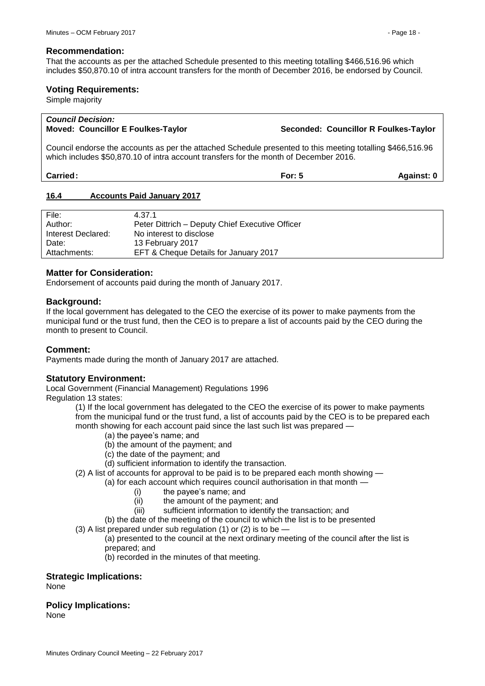#### **Recommendation:**

That the accounts as per the attached Schedule presented to this meeting totalling \$466,516.96 which includes \$50,870.10 of intra account transfers for the month of December 2016, be endorsed by Council.

## **Voting Requirements:**

Simple majority

## *Council Decision:*

**Moved: Councillor E Foulkes-Taylor Seconded: Councillor R Foulkes-Taylor**

Council endorse the accounts as per the attached Schedule presented to this meeting totalling \$466,516.96 which includes \$50,870.10 of intra account transfers for the month of December 2016.

| Carried: | For: | <b>Against:</b> |
|----------|------|-----------------|
|          |      |                 |

### <span id="page-17-0"></span>**16.4 Accounts Paid January 2017**

| File:              | 4.37.1                                          |
|--------------------|-------------------------------------------------|
| Author:            | Peter Dittrich – Deputy Chief Executive Officer |
| Interest Declared: | No interest to disclose                         |
| Date:              | 13 February 2017                                |
| Attachments:       | EFT & Cheque Details for January 2017           |

### **Matter for Consideration:**

Endorsement of accounts paid during the month of January 2017.

### **Background:**

If the local government has delegated to the CEO the exercise of its power to make payments from the municipal fund or the trust fund, then the CEO is to prepare a list of accounts paid by the CEO during the month to present to Council.

## **Comment:**

Payments made during the month of January 2017 are attached.

## **Statutory Environment:**

Local Government (Financial Management) Regulations 1996

Regulation 13 states:

(1) If the local government has delegated to the CEO the exercise of its power to make payments from the municipal fund or the trust fund, a list of accounts paid by the CEO is to be prepared each month showing for each account paid since the last such list was prepared —

- (a) the payee's name; and
- (b) the amount of the payment; and
- (c) the date of the payment; and
- (d) sufficient information to identify the transaction.
- (2) A list of accounts for approval to be paid is to be prepared each month showing
	- (a) for each account which requires council authorisation in that month
		- (i) the payee's name; and
		- (ii) the amount of the payment; and
		- (iii) sufficient information to identify the transaction; and
	- (b) the date of the meeting of the council to which the list is to be presented
- (3) A list prepared under sub regulation (1) or (2) is to be  $-$ 
	- (a) presented to the council at the next ordinary meeting of the council after the list is prepared; and
		- (b) recorded in the minutes of that meeting.

## **Strategic Implications:**

None

## **Policy Implications:**

None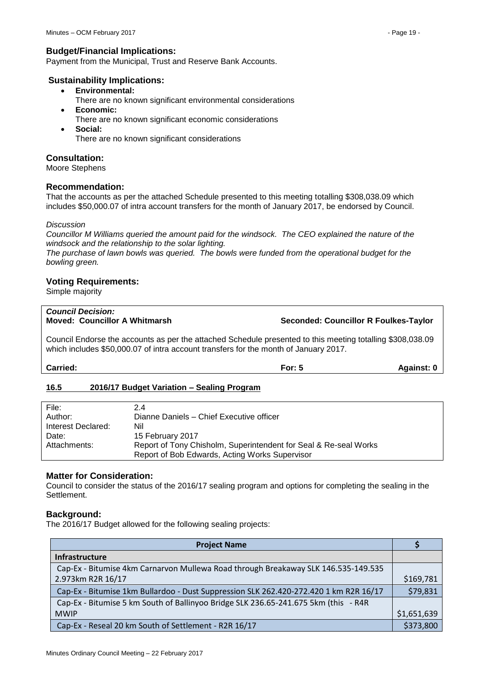## **Budget/Financial Implications:**

Payment from the Municipal, Trust and Reserve Bank Accounts.

## **Sustainability Implications:**

- **Environmental:**
	- There are no known significant environmental considerations
- **Economic:**
	- There are no known significant economic considerations
- **Social:** There are no known significant considerations

## **Consultation:**

Moore Stephens

## **Recommendation:**

That the accounts as per the attached Schedule presented to this meeting totalling \$308,038.09 which includes \$50,000.07 of intra account transfers for the month of January 2017, be endorsed by Council.

### *Discussion*

*Councillor M Williams queried the amount paid for the windsock. The CEO explained the nature of the windsock and the relationship to the solar lighting.*

*The purchase of lawn bowls was queried. The bowls were funded from the operational budget for the bowling green.*

## **Voting Requirements:**

Simple majority

# *Council Decision:*

**Moved: Councillor A Whitmarsh Seconded: Councillor R Foulkes-Taylor**

Council Endorse the accounts as per the attached Schedule presented to this meeting totalling \$308,038.09 which includes \$50,000.07 of intra account transfers for the month of January 2017.

**Carried: For: 5 Against: 0**

## <span id="page-18-0"></span>**16.5 2016/17 Budget Variation – Sealing Program**

| File:              | 2.4                                                              |
|--------------------|------------------------------------------------------------------|
| Author:            | Dianne Daniels - Chief Executive officer                         |
| Interest Declared: | Nil                                                              |
| Date:              | 15 February 2017                                                 |
| Attachments:       | Report of Tony Chisholm, Superintendent for Seal & Re-seal Works |
|                    | Report of Bob Edwards, Acting Works Supervisor                   |

## **Matter for Consideration:**

Council to consider the status of the 2016/17 sealing program and options for completing the sealing in the Settlement.

## **Background:**

The 2016/17 Budget allowed for the following sealing projects:

| <b>Project Name</b>                                                                   |             |
|---------------------------------------------------------------------------------------|-------------|
| <b>Infrastructure</b>                                                                 |             |
| Cap-Ex - Bitumise 4km Carnarvon Mullewa Road through Breakaway SLK 146.535-149.535    |             |
| 2.973km R2R 16/17                                                                     | \$169,781   |
| Cap-Ex - Bitumise 1km Bullardoo - Dust Suppression SLK 262.420-272.420 1 km R2R 16/17 | \$79,831    |
| Cap-Ex - Bitumise 5 km South of Ballinyoo Bridge SLK 236.65-241.675 5km (this - R4R   |             |
| <b>MWIP</b>                                                                           | \$1,651,639 |
| Cap-Ex - Reseal 20 km South of Settlement - R2R 16/17                                 | \$373,800   |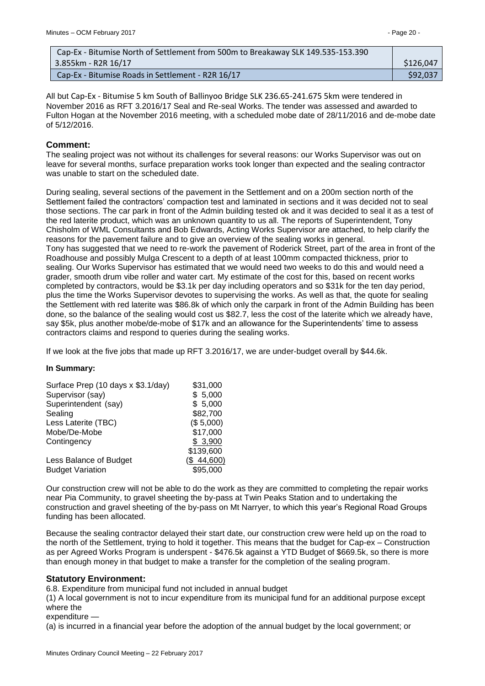| Cap-Ex - Bitumise North of Settlement from 500m to Breakaway SLK 149.535-153.390 |           |
|----------------------------------------------------------------------------------|-----------|
| 3.855km - R2R 16/17                                                              | \$126,047 |
| Cap-Ex - Bitumise Roads in Settlement - R2R 16/17                                | \$92,037  |

All but Cap-Ex - Bitumise 5 km South of Ballinyoo Bridge SLK 236.65-241.675 5km were tendered in November 2016 as RFT 3.2016/17 Seal and Re-seal Works. The tender was assessed and awarded to Fulton Hogan at the November 2016 meeting, with a scheduled mobe date of 28/11/2016 and de-mobe date of 5/12/2016.

## **Comment:**

The sealing project was not without its challenges for several reasons: our Works Supervisor was out on leave for several months, surface preparation works took longer than expected and the sealing contractor was unable to start on the scheduled date.

During sealing, several sections of the pavement in the Settlement and on a 200m section north of the Settlement failed the contractors' compaction test and laminated in sections and it was decided not to seal those sections. The car park in front of the Admin building tested ok and it was decided to seal it as a test of the red laterite product, which was an unknown quantity to us all. The reports of Superintendent, Tony Chisholm of WML Consultants and Bob Edwards, Acting Works Supervisor are attached, to help clarify the reasons for the pavement failure and to give an overview of the sealing works in general. Tony has suggested that we need to re-work the pavement of Roderick Street, part of the area in front of the Roadhouse and possibly Mulga Crescent to a depth of at least 100mm compacted thickness, prior to sealing. Our Works Supervisor has estimated that we would need two weeks to do this and would need a grader, smooth drum vibe roller and water cart. My estimate of the cost for this, based on recent works completed by contractors, would be \$3.1k per day including operators and so \$31k for the ten day period, plus the time the Works Supervisor devotes to supervising the works. As well as that, the quote for sealing the Settlement with red laterite was \$86.8k of which only the carpark in front of the Admin Building has been done, so the balance of the sealing would cost us \$82.7, less the cost of the laterite which we already have, say \$5k, plus another mobe/de-mobe of \$17k and an allowance for the Superintendents' time to assess contractors claims and respond to queries during the sealing works.

If we look at the five jobs that made up RFT 3.2016/17, we are under-budget overall by \$44.6k.

#### **In Summary:**

| Surface Prep (10 days x \$3.1/day) | \$31,000   |
|------------------------------------|------------|
| Supervisor (say)                   | \$5,000    |
| Superintendent (say)               | \$5,000    |
| Sealing                            | \$82,700   |
| Less Laterite (TBC)                | (\$5,000)  |
| Mobe/De-Mobe                       | \$17,000   |
| Contingency                        | \$3,900    |
|                                    | \$139,600  |
| Less Balance of Budget             | (\$44,600) |
| <b>Budget Variation</b>            | \$95,000   |

Our construction crew will not be able to do the work as they are committed to completing the repair works near Pia Community, to gravel sheeting the by-pass at Twin Peaks Station and to undertaking the construction and gravel sheeting of the by-pass on Mt Narryer, to which this year's Regional Road Groups funding has been allocated.

Because the sealing contractor delayed their start date, our construction crew were held up on the road to the north of the Settlement, trying to hold it together. This means that the budget for Cap-ex – Construction as per Agreed Works Program is underspent - \$476.5k against a YTD Budget of \$669.5k, so there is more than enough money in that budget to make a transfer for the completion of the sealing program.

## **Statutory Environment:**

6.8. Expenditure from municipal fund not included in annual budget

(1) A local government is not to incur expenditure from its municipal fund for an additional purpose except where the

expenditure —

(a) is incurred in a financial year before the adoption of the annual budget by the local government; or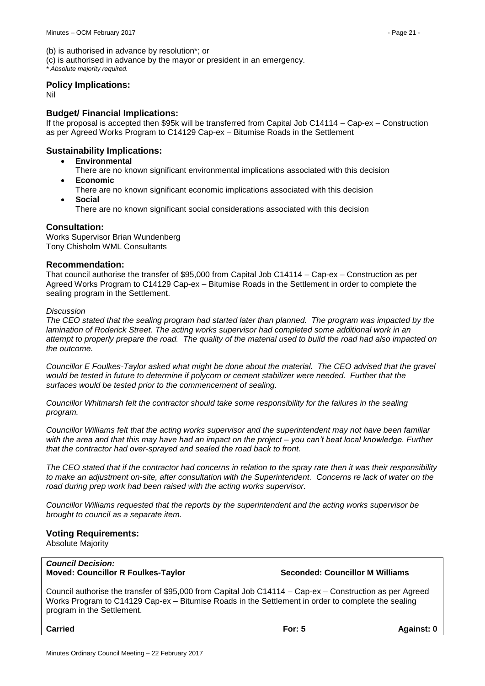(b) is authorised in advance by resolution\*; or

(c) is authorised in advance by the mayor or president in an emergency.

*\* Absolute majority required.*

#### **Policy Implications:**

Nil

## **Budget/ Financial Implications:**

If the proposal is accepted then \$95k will be transferred from Capital Job C14114 – Cap-ex – Construction as per Agreed Works Program to C14129 Cap-ex – Bitumise Roads in the Settlement

## **Sustainability Implications:**

- **Environmental**
	- There are no known significant environmental implications associated with this decision **Economic**
- There are no known significant economic implications associated with this decision **Social**
	- There are no known significant social considerations associated with this decision

## **Consultation:**

Works Supervisor Brian Wundenberg Tony Chisholm WML Consultants

### **Recommendation:**

That council authorise the transfer of \$95,000 from Capital Job C14114 – Cap-ex – Construction as per Agreed Works Program to C14129 Cap-ex – Bitumise Roads in the Settlement in order to complete the sealing program in the Settlement.

#### *Discussion*

*The CEO stated that the sealing program had started later than planned. The program was impacted by the lamination of Roderick Street. The acting works supervisor had completed some additional work in an attempt to properly prepare the road. The quality of the material used to build the road had also impacted on the outcome.* 

*Councillor E Foulkes-Taylor asked what might be done about the material. The CEO advised that the gravel would be tested in future to determine if polycom or cement stabilizer were needed. Further that the surfaces would be tested prior to the commencement of sealing.*

*Councillor Whitmarsh felt the contractor should take some responsibility for the failures in the sealing program.*

*Councillor Williams felt that the acting works supervisor and the superintendent may not have been familiar with the area and that this may have had an impact on the project – you can't beat local knowledge. Further that the contractor had over-sprayed and sealed the road back to front.*

*The CEO stated that if the contractor had concerns in relation to the spray rate then it was their responsibility to make an adjustment on-site, after consultation with the Superintendent. Concerns re lack of water on the road during prep work had been raised with the acting works supervisor.*

*Councillor Williams requested that the reports by the superintendent and the acting works supervisor be brought to council as a separate item.*

## **Voting Requirements:**

Absolute Majority

*Council Decision:*  **Moved: Councillor R Foulkes-Taylor Seconded: Councillor M Williams**

Council authorise the transfer of \$95,000 from Capital Job C14114 – Cap-ex – Construction as per Agreed Works Program to C14129 Cap-ex – Bitumise Roads in the Settlement in order to complete the sealing program in the Settlement.

**Carried For: 5 Against: 0**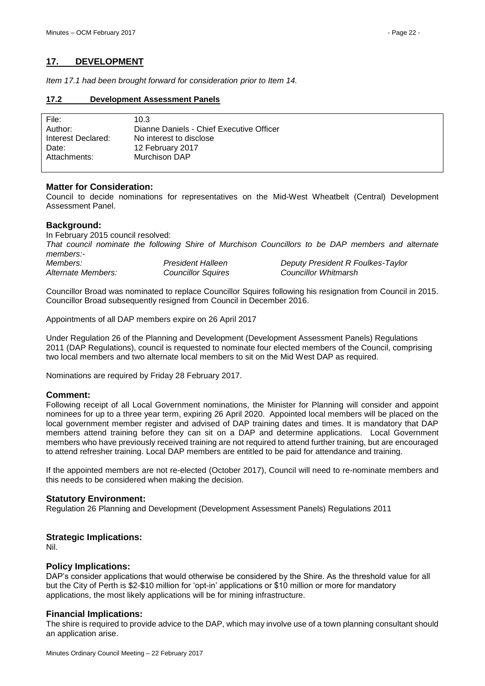## <span id="page-21-0"></span>**17. DEVELOPMENT**

*Item 17.1 had been brought forward for consideration prior to Item 14.*

### <span id="page-21-1"></span>**17.2 Development Assessment Panels**

| File:              | 10.3                                     |
|--------------------|------------------------------------------|
| Author:            | Dianne Daniels - Chief Executive Officer |
| Interest Declared: | No interest to disclose                  |
| Date:              | 12 February 2017                         |
| Attachments:       | Murchison DAP                            |
|                    |                                          |

## **Matter for Consideration:**

Council to decide nominations for representatives on the Mid-West Wheatbelt (Central) Development Assessment Panel.

## **Background:**

In February 2015 council resolved: *That council nominate the following Shire of Murchison Councillors to be DAP members and alternate members:- Members: President Halleen Deputy President R Foulkes-Taylor Alternate Members: Councillor Squires Councillor Whitmarsh*

Councillor Broad was nominated to replace Councillor Squires following his resignation from Council in 2015. Councillor Broad subsequently resigned from Council in December 2016.

Appointments of all DAP members expire on 26 April 2017

Under Regulation 26 of the Planning and Development (Development Assessment Panels) Regulations 2011 (DAP Regulations), council is requested to nominate four elected members of the Council, comprising two local members and two alternate local members to sit on the Mid West DAP as required.

Nominations are required by Friday 28 February 2017.

## **Comment:**

Following receipt of all Local Government nominations, the Minister for Planning will consider and appoint nominees for up to a three year term, expiring 26 April 2020. Appointed local members will be placed on the local government member register and advised of DAP training dates and times. It is mandatory that DAP members attend training before they can sit on a DAP and determine applications. Local Government members who have previously received training are not required to attend further training, but are encouraged to attend refresher training. Local DAP members are entitled to be paid for attendance and training.

If the appointed members are not re-elected (October 2017), Council will need to re-nominate members and this needs to be considered when making the decision.

## **Statutory Environment:**

Regulation 26 Planning and Development (Development Assessment Panels) Regulations 2011

## **Strategic Implications:**

Nil.

## **Policy Implications:**

DAP's consider applications that would otherwise be considered by the Shire. As the threshold value for all but the City of Perth is \$2-\$10 million for 'opt-in' applications or \$10 million or more for mandatory applications, the most likely applications will be for mining infrastructure.

## **Financial Implications:**

The shire is required to provide advice to the DAP, which may involve use of a town planning consultant should an application arise.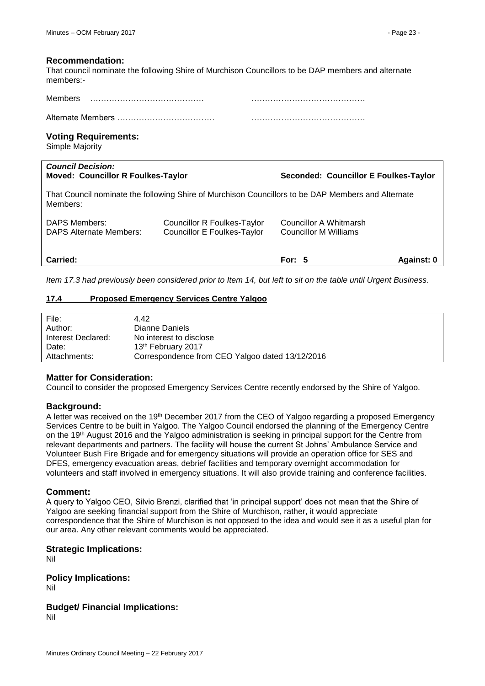#### **Recommendation:**

That council nominate the following Shire of Murchison Councillors to be DAP members and alternate members:-

| Members           |  |
|-------------------|--|
| Alternate Members |  |

#### **Voting Requirements:**

Simple Majority

| <b>Council Decision:</b><br><b>Moved: Councillor R Foulkes-Taylor</b> |                                                                                                    | Seconded: Councillor E Foulkes-Taylor           |            |
|-----------------------------------------------------------------------|----------------------------------------------------------------------------------------------------|-------------------------------------------------|------------|
| Members:                                                              | That Council nominate the following Shire of Murchison Councillors to be DAP Members and Alternate |                                                 |            |
| <b>DAPS Members:</b><br><b>DAPS Alternate Members:</b>                | Councillor R Foulkes-Taylor<br><b>Councillor E Foulkes-Taylor</b>                                  | Councillor A Whitmarsh<br>Councillor M Williams |            |
| <b>Carried:</b>                                                       |                                                                                                    | For: $5$                                        | Against: 0 |

*Item 17.3 had previously been considered prior to Item 14, but left to sit on the table until Urgent Business.*

## <span id="page-22-0"></span>**17.4 Proposed Emergency Services Centre Yalgoo**

| File:              | 4.42                                            |
|--------------------|-------------------------------------------------|
| Author:            | Dianne Daniels                                  |
| Interest Declared: | No interest to disclose                         |
| Date:              | 13th February 2017                              |
| Attachments:       | Correspondence from CEO Yalgoo dated 13/12/2016 |

## **Matter for Consideration:**

Council to consider the proposed Emergency Services Centre recently endorsed by the Shire of Yalgoo.

## **Background:**

A letter was received on the 19th December 2017 from the CEO of Yalgoo regarding a proposed Emergency Services Centre to be built in Yalgoo. The Yalgoo Council endorsed the planning of the Emergency Centre on the 19th August 2016 and the Yalgoo administration is seeking in principal support for the Centre from relevant departments and partners. The facility will house the current St Johns' Ambulance Service and Volunteer Bush Fire Brigade and for emergency situations will provide an operation office for SES and DFES, emergency evacuation areas, debrief facilities and temporary overnight accommodation for volunteers and staff involved in emergency situations. It will also provide training and conference facilities.

## **Comment:**

A query to Yalgoo CEO, Silvio Brenzi, clarified that 'in principal support' does not mean that the Shire of Yalgoo are seeking financial support from the Shire of Murchison, rather, it would appreciate correspondence that the Shire of Murchison is not opposed to the idea and would see it as a useful plan for our area. Any other relevant comments would be appreciated.

## **Strategic Implications:**

Nil

**Policy Implications:**  Nil

## **Budget/ Financial Implications:**

Nil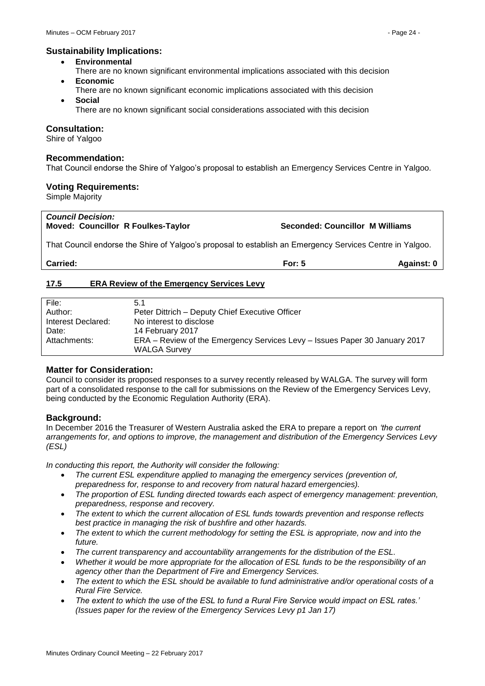## **Sustainability Implications:**

- **Environmental**
- There are no known significant environmental implications associated with this decision **Economic**
- There are no known significant economic implications associated with this decision
- **Social**
	- There are no known significant social considerations associated with this decision

## **Consultation:**

Shire of Yalgoo

### **Recommendation:**

That Council endorse the Shire of Yalgoo's proposal to establish an Emergency Services Centre in Yalgoo.

### **Voting Requirements:**

Simple Majority

#### *Council Decision:*  **Moved: Councillor R Foulkes-Taylor Seconded: Councillor M Williams**

That Council endorse the Shire of Yalgoo's proposal to establish an Emergency Services Centre in Yalgoo.

**Carried: For: 5 Against: 0**

## <span id="page-23-0"></span>**17.5 ERA Review of the Emergency Services Levy**

| File:              | 5.1                                                                        |
|--------------------|----------------------------------------------------------------------------|
| Author:            | Peter Dittrich – Deputy Chief Executive Officer                            |
| Interest Declared: | No interest to disclose                                                    |
| Date:              | 14 February 2017                                                           |
| Attachments:       | ERA – Review of the Emergency Services Levy – Issues Paper 30 January 2017 |
|                    | <b>WALGA Survey</b>                                                        |

## **Matter for Consideration:**

Council to consider its proposed responses to a survey recently released by WALGA. The survey will form part of a consolidated response to the call for submissions on the Review of the Emergency Services Levy, being conducted by the Economic Regulation Authority (ERA).

## **Background:**

In December 2016 the Treasurer of Western Australia asked the ERA to prepare a report on *'the current arrangements for, and options to improve, the management and distribution of the Emergency Services Levy (ESL)*

*In conducting this report, the Authority will consider the following:* 

- *The current ESL expenditure applied to managing the emergency services (prevention of, preparedness for, response to and recovery from natural hazard emergencies).*
- *The proportion of ESL funding directed towards each aspect of emergency management: prevention, preparedness, response and recovery.*
- *The extent to which the current allocation of ESL funds towards prevention and response reflects best practice in managing the risk of bushfire and other hazards.*
- *The extent to which the current methodology for setting the ESL is appropriate, now and into the future.*
- *The current transparency and accountability arrangements for the distribution of the ESL.*
- *Whether it would be more appropriate for the allocation of ESL funds to be the responsibility of an agency other than the Department of Fire and Emergency Services.*
- *The extent to which the ESL should be available to fund administrative and/or operational costs of a Rural Fire Service.*
- *The extent to which the use of the ESL to fund a Rural Fire Service would impact on ESL rates.' (Issues paper for the review of the Emergency Services Levy p1 Jan 17)*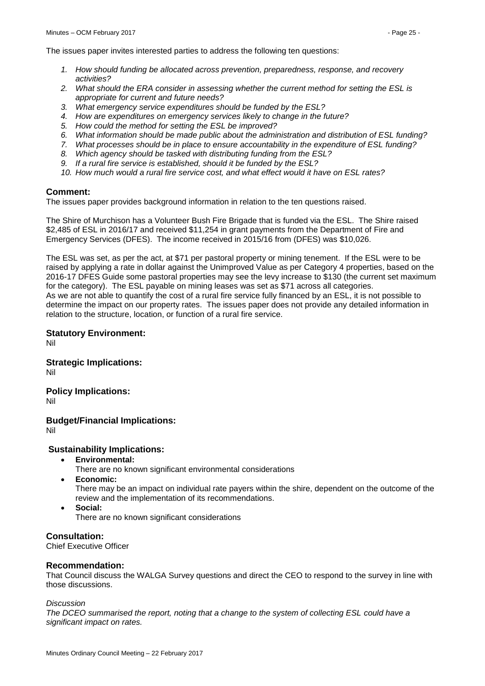The issues paper invites interested parties to address the following ten questions:

- *1. How should funding be allocated across prevention, preparedness, response, and recovery activities?*
- *2. What should the ERA consider in assessing whether the current method for setting the ESL is appropriate for current and future needs?*
- *3. What emergency service expenditures should be funded by the ESL?*
- *4. How are expenditures on emergency services likely to change in the future?*
- *5. How could the method for setting the ESL be improved?*
- *6. What information should be made public about the administration and distribution of ESL funding?*
- *7. What processes should be in place to ensure accountability in the expenditure of ESL funding?*
- *8. Which agency should be tasked with distributing funding from the ESL?*
- *9. If a rural fire service is established, should it be funded by the ESL?*
- *10. How much would a rural fire service cost, and what effect would it have on ESL rates?*

## **Comment:**

The issues paper provides background information in relation to the ten questions raised.

The Shire of Murchison has a Volunteer Bush Fire Brigade that is funded via the ESL. The Shire raised \$2,485 of ESL in 2016/17 and received \$11,254 in grant payments from the Department of Fire and Emergency Services (DFES). The income received in 2015/16 from (DFES) was \$10,026.

The ESL was set, as per the act, at \$71 per pastoral property or mining tenement. If the ESL were to be raised by applying a rate in dollar against the Unimproved Value as per Category 4 properties, based on the 2016-17 DFES Guide some pastoral properties may see the levy increase to \$130 (the current set maximum for the category). The ESL payable on mining leases was set as \$71 across all categories. As we are not able to quantify the cost of a rural fire service fully financed by an ESL, it is not possible to determine the impact on our property rates. The issues paper does not provide any detailed information in relation to the structure, location, or function of a rural fire service.

## **Statutory Environment:**

Nil

**Strategic Implications:** Nil

**Policy Implications:**

Nil

**Budget/Financial Implications:**

Nil

## **Sustainability Implications:**

- **Environmental:**
	- There are no known significant environmental considerations
- **Economic:**

There may be an impact on individual rate payers within the shire, dependent on the outcome of the review and the implementation of its recommendations.

**Social:**

There are no known significant considerations

## **Consultation:**

Chief Executive Officer

## **Recommendation:**

That Council discuss the WALGA Survey questions and direct the CEO to respond to the survey in line with those discussions.

#### *Discussion*

*The DCEO summarised the report, noting that a change to the system of collecting ESL could have a significant impact on rates.*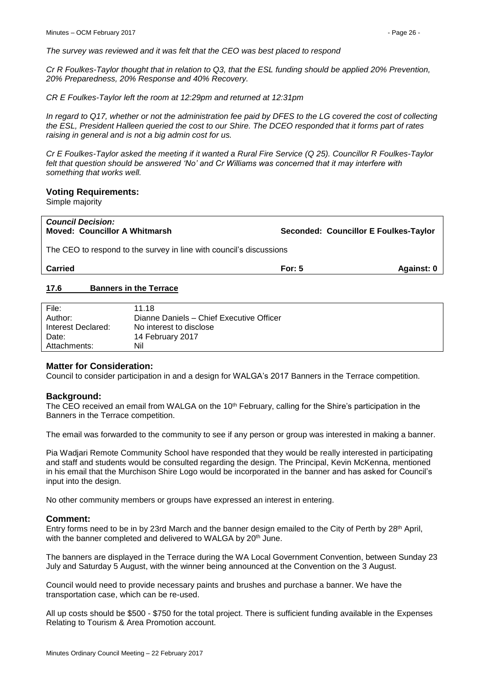*The survey was reviewed and it was felt that the CEO was best placed to respond*

*Cr R Foulkes-Taylor thought that in relation to Q3, that the ESL funding should be applied 20% Prevention, 20% Preparedness, 20% Response and 40% Recovery.*

*CR E Foulkes-Taylor left the room at 12:29pm and returned at 12:31pm*

*In regard to Q17, whether or not the administration fee paid by DFES to the LG covered the cost of collecting the ESL, President Halleen queried the cost to our Shire. The DCEO responded that it forms part of rates raising in general and is not a big admin cost for us.*

*Cr E Foulkes-Taylor asked the meeting if it wanted a Rural Fire Service (Q 25). Councillor R Foulkes-Taylor felt that question should be answered 'No' and Cr Williams was concerned that it may interfere with something that works well.* 

#### **Voting Requirements:**

Simple majority

| <b>Council Decision:</b><br><b>Moved: Councillor A Whitmarsh</b>    | Seconded: Councillor E Foulkes-Taylor |            |
|---------------------------------------------------------------------|---------------------------------------|------------|
| The CEO to respond to the survey in line with council's discussions |                                       |            |
| <b>Carried</b>                                                      | For: $5$                              | Against: 0 |
| <b>Banners in the Terrace</b><br>17.6                               |                                       |            |

<span id="page-25-0"></span>

| File:              | 11.18                                    |
|--------------------|------------------------------------------|
| Author:            | Dianne Daniels - Chief Executive Officer |
| Interest Declared: | No interest to disclose                  |
| Date:              | 14 February 2017                         |
| Attachments:       | Nil                                      |

#### **Matter for Consideration:**

Council to consider participation in and a design for WALGA's 2017 Banners in the Terrace competition.

#### **Background:**

The CEO received an email from WALGA on the 10<sup>th</sup> February, calling for the Shire's participation in the Banners in the Terrace competition.

The email was forwarded to the community to see if any person or group was interested in making a banner.

Pia Wadjari Remote Community School have responded that they would be really interested in participating and staff and students would be consulted regarding the design. The Principal, Kevin McKenna, mentioned in his email that the Murchison Shire Logo would be incorporated in the banner and has asked for Council's input into the design.

No other community members or groups have expressed an interest in entering.

#### **Comment:**

Entry forms need to be in by 23rd March and the banner design emailed to the City of Perth by 28<sup>th</sup> April, with the banner completed and delivered to WALGA by 20<sup>th</sup> June.

The banners are displayed in the Terrace during the WA Local Government Convention, between Sunday 23 July and Saturday 5 August, with the winner being announced at the Convention on the 3 August.

Council would need to provide necessary paints and brushes and purchase a banner. We have the transportation case, which can be re-used.

All up costs should be \$500 - \$750 for the total project. There is sufficient funding available in the Expenses Relating to Tourism & Area Promotion account.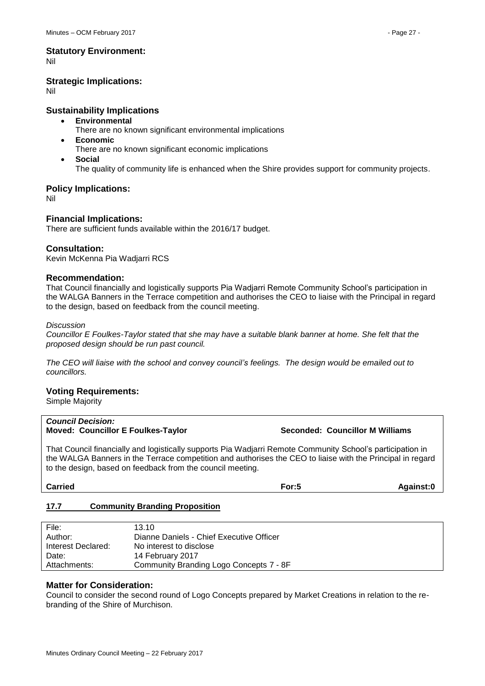Nil

## **Strategic Implications:**

Nil

## **Sustainability Implications**

- **Environmental**
	- There are no known significant environmental implications
- **Economic**
- There are no known significant economic implications
- **Social**
	- The quality of community life is enhanced when the Shire provides support for community projects.

## **Policy Implications:**

Nil

## **Financial Implications:**

There are sufficient funds available within the 2016/17 budget.

## **Consultation:**

Kevin McKenna Pia Wadjarri RCS

## **Recommendation:**

That Council financially and logistically supports Pia Wadjarri Remote Community School's participation in the WALGA Banners in the Terrace competition and authorises the CEO to liaise with the Principal in regard to the design, based on feedback from the council meeting.

## *Discussion*

*Councillor E Foulkes-Taylor stated that she may have a suitable blank banner at home. She felt that the proposed design should be run past council.*

*The CEO will liaise with the school and convey council's feelings. The design would be emailed out to councillors.*

## **Voting Requirements:**

Simple Majority

#### *Council Decision:* **Moved: Councillor E Foulkes-Taylor Seconded: Councillor M Williams**

That Council financially and logistically supports Pia Wadjarri Remote Community School's participation in the WALGA Banners in the Terrace competition and authorises the CEO to liaise with the Principal in regard to the design, based on feedback from the council meeting.

**Carried For:5 Against:0**

## <span id="page-26-0"></span>**17.7 Community Branding Proposition**

| File:              | 13.10                                    |
|--------------------|------------------------------------------|
| Author:            | Dianne Daniels - Chief Executive Officer |
| Interest Declared: | No interest to disclose                  |
| Date:              | 14 February 2017                         |
| Attachments:       | Community Branding Logo Concepts 7 - 8F  |

## **Matter for Consideration:**

Council to consider the second round of Logo Concepts prepared by Market Creations in relation to the rebranding of the Shire of Murchison.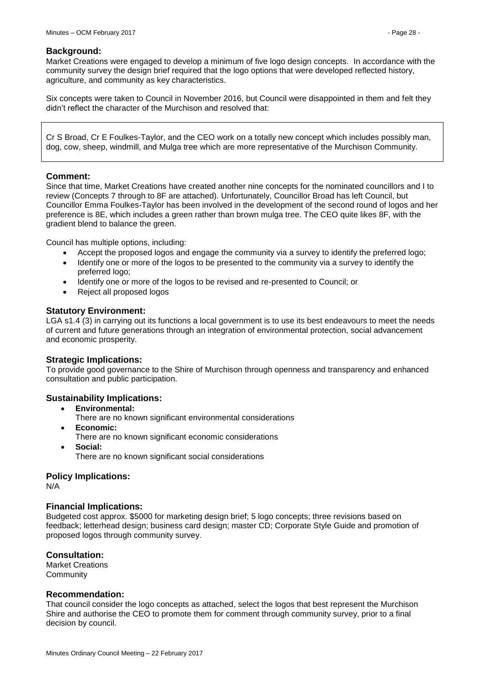### **Background:**

Market Creations were engaged to develop a minimum of five logo design concepts. In accordance with the community survey the design brief required that the logo options that were developed reflected history, agriculture, and community as key characteristics.

Six concepts were taken to Council in November 2016, but Council were disappointed in them and felt they didn't reflect the character of the Murchison and resolved that:

Cr S Broad, Cr E Foulkes-Taylor, and the CEO work on a totally new concept which includes possibly man, dog, cow, sheep, windmill, and Mulga tree which are more representative of the Murchison Community.

## **Comment:**

Since that time, Market Creations have created another nine concepts for the nominated councillors and I to review (Concepts 7 through to 8F are attached). Unfortunately, Councillor Broad has left Council, but Councillor Emma Foulkes-Taylor has been involved in the development of the second round of logos and her preference is 8E, which includes a green rather than brown mulga tree. The CEO quite likes 8F, with the gradient blend to balance the green.

Council has multiple options, including:

- Accept the proposed logos and engage the community via a survey to identify the preferred logo;
- Identify one or more of the logos to be presented to the community via a survey to identify the preferred logo;
- Identify one or more of the logos to be revised and re-presented to Council; or
- Reject all proposed logos

### **Statutory Environment:**

LGA s1.4 (3) in carrying out its functions a local government is to use its best endeavours to meet the needs of current and future generations through an integration of environmental protection, social advancement and economic prosperity.

## **Strategic Implications:**

To provide good governance to the Shire of Murchison through openness and transparency and enhanced consultation and public participation.

## **Sustainability Implications:**

- **Environmental:**
- There are no known significant environmental considerations
- **Economic:**
	- There are no known significant economic considerations
- **Social:** There are no known significant social considerations

## **Policy Implications:**

N/A

#### **Financial Implications:**

Budgeted cost approx. \$5000 for marketing design brief; 5 logo concepts; three revisions based on feedback; letterhead design; business card design; master CD; Corporate Style Guide and promotion of proposed logos through community survey.

## **Consultation:**

Market Creations **Community** 

#### **Recommendation:**

That council consider the logo concepts as attached, select the logos that best represent the Murchison Shire and authorise the CEO to promote them for comment through community survey, prior to a final decision by council.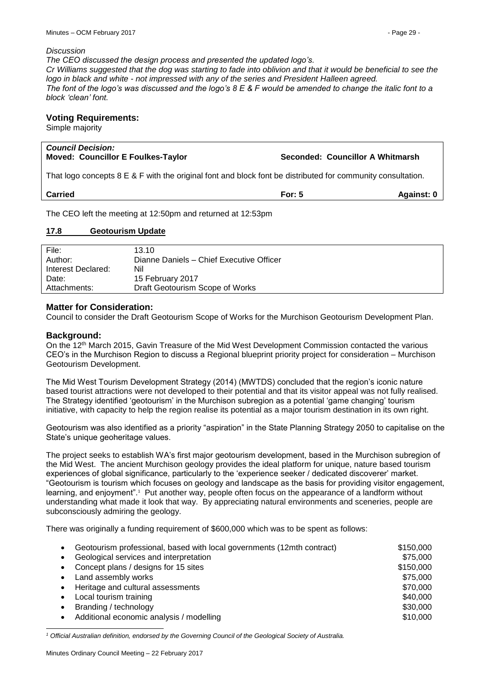#### *Discussion*

*The CEO discussed the design process and presented the updated logo's.*

*Cr Williams suggested that the dog was starting to fade into oblivion and that it would be beneficial to see the logo in black and white - not impressed with any of the series and President Halleen agreed. The font of the logo's was discussed and the logo's 8 E & F would be amended to change the italic font to a* 

## **Voting Requirements:**

Simple majority

*block 'clean' font.*

#### *Council Decision:* **Moved: Councillor E Foulkes-Taylor Seconded: Councillor A Whitmarsh**

That logo concepts 8 E & F with the original font and block font be distributed for community consultation.

| <b>Carried</b> | For: $5$ | <b>Against: 0</b> |
|----------------|----------|-------------------|
|                |          |                   |

The CEO left the meeting at 12:50pm and returned at 12:53pm

## <span id="page-28-0"></span>**17.8 Geotourism Update**

| File:<br>Author:   | 13.10<br>Dianne Daniels - Chief Executive Officer |
|--------------------|---------------------------------------------------|
| Interest Declared: | Nil                                               |
| Date:              | 15 February 2017                                  |
| Attachments:       | Draft Geotourism Scope of Works                   |

## **Matter for Consideration:**

Council to consider the Draft Geotourism Scope of Works for the Murchison Geotourism Development Plan.

## **Background:**

On the 12th March 2015, Gavin Treasure of the Mid West Development Commission contacted the various CEO's in the Murchison Region to discuss a Regional blueprint priority project for consideration – Murchison Geotourism Development.

The Mid West Tourism Development Strategy (2014) (MWTDS) concluded that the region's iconic nature based tourist attractions were not developed to their potential and that its visitor appeal was not fully realised. The Strategy identified 'geotourism' in the Murchison subregion as a potential 'game changing' tourism initiative, with capacity to help the region realise its potential as a major tourism destination in its own right.

Geotourism was also identified as a priority "aspiration" in the State Planning Strategy 2050 to capitalise on the State's unique geoheritage values.

The project seeks to establish WA's first major geotourism development, based in the Murchison subregion of the Mid West. The ancient Murchison geology provides the ideal platform for unique, nature based tourism experiences of global significance, particularly to the 'experience seeker / dedicated discoverer' market. "Geotourism is tourism which focuses on geology and landscape as the basis for providing visitor engagement, learning, and enjoyment".<sup>1</sup> Put another way, people often focus on the appearance of a landform without understanding what made it look that way. By appreciating natural environments and sceneries, people are subconsciously admiring the geology.

There was originally a funding requirement of \$600,000 which was to be spent as follows:

| ٠         | Geotourism professional, based with local governments (12mth contract) | \$150,000 |
|-----------|------------------------------------------------------------------------|-----------|
|           | Geological services and interpretation                                 | \$75,000  |
| ٠         | Concept plans / designs for 15 sites                                   | \$150,000 |
| $\bullet$ | Land assembly works                                                    | \$75,000  |
| ٠         | Heritage and cultural assessments                                      | \$70,000  |
| $\bullet$ | Local tourism training                                                 | \$40,000  |
| $\bullet$ | Branding / technology                                                  | \$30,000  |
|           | Additional economic analysis / modelling                               | \$10,000  |

1 *<sup>1</sup> Official Australian definition, endorsed by the Governing Council of the Geological Society of Australia.*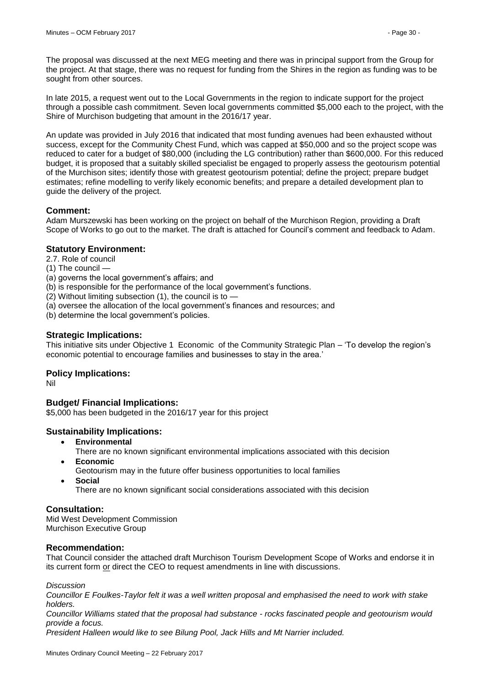The proposal was discussed at the next MEG meeting and there was in principal support from the Group for the project. At that stage, there was no request for funding from the Shires in the region as funding was to be sought from other sources.

In late 2015, a request went out to the Local Governments in the region to indicate support for the project through a possible cash commitment. Seven local governments committed \$5,000 each to the project, with the Shire of Murchison budgeting that amount in the 2016/17 year.

An update was provided in July 2016 that indicated that most funding avenues had been exhausted without success, except for the Community Chest Fund, which was capped at \$50,000 and so the project scope was reduced to cater for a budget of \$80,000 (including the LG contribution) rather than \$600,000. For this reduced budget, it is proposed that a suitably skilled specialist be engaged to properly assess the geotourism potential of the Murchison sites; identify those with greatest geotourism potential; define the project; prepare budget estimates; refine modelling to verify likely economic benefits; and prepare a detailed development plan to guide the delivery of the project.

## **Comment:**

Adam Murszewski has been working on the project on behalf of the Murchison Region, providing a Draft Scope of Works to go out to the market. The draft is attached for Council's comment and feedback to Adam.

## **Statutory Environment:**

- 2.7. Role of council
- (1) The council —
- (a) governs the local government's affairs; and
- (b) is responsible for the performance of the local government's functions.
- (2) Without limiting subsection (1), the council is to  $-$
- (a) oversee the allocation of the local government's finances and resources; and

(b) determine the local government's policies.

## **Strategic Implications:**

This initiative sits under Objective 1 Economic of the Community Strategic Plan – 'To develop the region's economic potential to encourage families and businesses to stay in the area.'

## **Policy Implications:**

Nil

## **Budget/ Financial Implications:**

\$5,000 has been budgeted in the 2016/17 year for this project

## **Sustainability Implications:**

- **Environmental**
	- There are no known significant environmental implications associated with this decision
	- **Economic**
	- Geotourism may in the future offer business opportunities to local families
	- **Social**
		- There are no known significant social considerations associated with this decision

## **Consultation:**

Mid West Development Commission Murchison Executive Group

## **Recommendation:**

That Council consider the attached draft Murchison Tourism Development Scope of Works and endorse it in its current form or direct the CEO to request amendments in line with discussions.

*Discussion*

*Councillor E Foulkes-Taylor felt it was a well written proposal and emphasised the need to work with stake holders.*

*Councillor Williams stated that the proposal had substance - rocks fascinated people and geotourism would provide a focus.*

*President Halleen would like to see Bilung Pool, Jack Hills and Mt Narrier included.*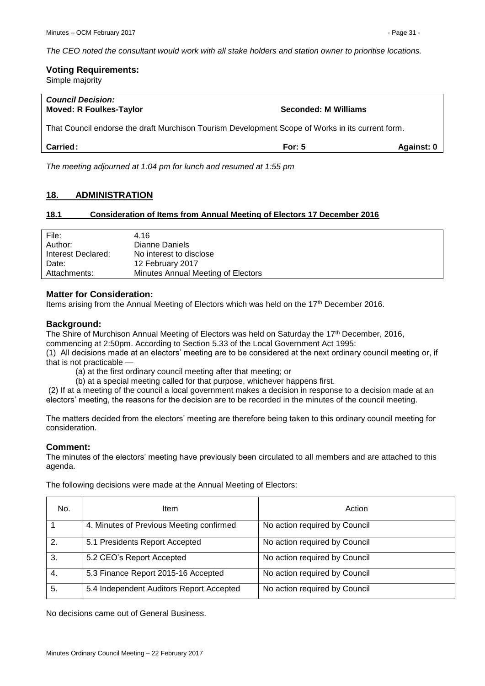*The CEO noted the consultant would work with all stake holders and station owner to prioritise locations.*

#### **Voting Requirements:**  Simple majority

| <b>Council Decision:</b><br><b>Moved: R Foulkes-Taylor</b>                                       | <b>Seconded: M Williams</b> |            |
|--------------------------------------------------------------------------------------------------|-----------------------------|------------|
| That Council endorse the draft Murchison Tourism Development Scope of Works in its current form. |                             |            |
| <b>Carried:</b>                                                                                  | For: $5$                    | Against: 0 |

*The meeting adjourned at 1:04 pm for lunch and resumed at 1:55 pm*

## <span id="page-30-0"></span>**18. ADMINISTRATION**

## <span id="page-30-1"></span>**18.1 Consideration of Items from Annual Meeting of Electors 17 December 2016**

| File:              | 4.16                               |
|--------------------|------------------------------------|
| Author:            | Dianne Daniels                     |
| Interest Declared: | No interest to disclose            |
| Date:              | 12 February 2017                   |
| Attachments:       | Minutes Annual Meeting of Electors |

## **Matter for Consideration:**

Items arising from the Annual Meeting of Electors which was held on the 17th December 2016.

## **Background:**

The Shire of Murchison Annual Meeting of Electors was held on Saturday the 17<sup>th</sup> December, 2016, commencing at 2:50pm. According to Section 5.33 of the Local Government Act 1995:

(1) All decisions made at an electors' meeting are to be considered at the next ordinary council meeting or, if that is not practicable —

(a) at the first ordinary council meeting after that meeting; or

(b) at a special meeting called for that purpose, whichever happens first.

(2) If at a meeting of the council a local government makes a decision in response to a decision made at an electors' meeting, the reasons for the decision are to be recorded in the minutes of the council meeting.

The matters decided from the electors' meeting are therefore being taken to this ordinary council meeting for consideration.

## **Comment:**

The minutes of the electors' meeting have previously been circulated to all members and are attached to this agenda.

| No. | Item                                     | Action                        |
|-----|------------------------------------------|-------------------------------|
|     | 4. Minutes of Previous Meeting confirmed | No action required by Council |
| 2.  | 5.1 Presidents Report Accepted           | No action required by Council |
| 3.  | 5.2 CEO's Report Accepted                | No action required by Council |
| 4.  | 5.3 Finance Report 2015-16 Accepted      | No action required by Council |
| 5.  | 5.4 Independent Auditors Report Accepted | No action required by Council |

The following decisions were made at the Annual Meeting of Electors:

No decisions came out of General Business.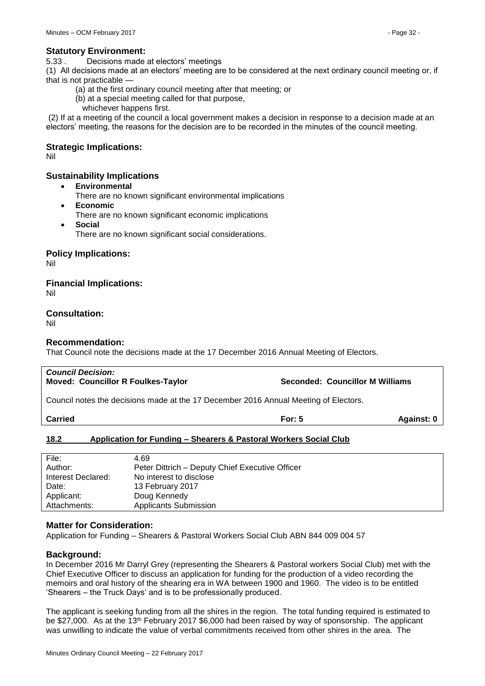#### **Statutory Environment:**

5.33 . Decisions made at electors' meetings

(1) All decisions made at an electors' meeting are to be considered at the next ordinary council meeting or, if that is not practicable

- (a) at the first ordinary council meeting after that meeting; or
- (b) at a special meeting called for that purpose,
- whichever happens first.

(2) If at a meeting of the council a local government makes a decision in response to a decision made at an electors' meeting, the reasons for the decision are to be recorded in the minutes of the council meeting.

## **Strategic Implications:**

Nil

## **Sustainability Implications**

- **Environmental**
	- There are no known significant environmental implications
- **Economic**
	- There are no known significant economic implications
- **Social**
	- There are no known significant social considerations.

## **Policy Implications:**

Nil

## **Financial Implications:**

Nil

## **Consultation:**

Nil

## **Recommendation:**

That Council note the decisions made at the 17 December 2016 Annual Meeting of Electors.

| <b>Council Decision:</b><br><b>Moved: Councillor R Foulkes-Taylor</b>                | <b>Seconded: Councillor M Williams</b> |              |
|--------------------------------------------------------------------------------------|----------------------------------------|--------------|
| Council notes the decisions made at the 17 December 2016 Annual Meeting of Electors. |                                        |              |
| <b>Carried</b>                                                                       | For: $5$                               | Against: $0$ |

## <span id="page-31-0"></span>**18.2 Application for Funding – Shearers & Pastoral Workers Social Club**

| File:              | 4.69                                            |
|--------------------|-------------------------------------------------|
| Author:            | Peter Dittrich – Deputy Chief Executive Officer |
| Interest Declared: | No interest to disclose                         |
| Date:              | 13 February 2017                                |
| Applicant:         | Doug Kennedy                                    |
| Attachments:       | <b>Applicants Submission</b>                    |

## **Matter for Consideration:**

Application for Funding – Shearers & Pastoral Workers Social Club ABN 844 009 004 57

## **Background:**

In December 2016 Mr Darryl Grey (representing the Shearers & Pastoral workers Social Club) met with the Chief Executive Officer to discuss an application for funding for the production of a video recording the memoirs and oral history of the shearing era in WA between 1900 and 1960. The video is to be entitled 'Shearers – the Truck Days' and is to be professionally produced.

The applicant is seeking funding from all the shires in the region. The total funding required is estimated to be \$27,000. As at the 13<sup>th</sup> February 2017 \$6,000 had been raised by way of sponsorship. The applicant was unwilling to indicate the value of verbal commitments received from other shires in the area. The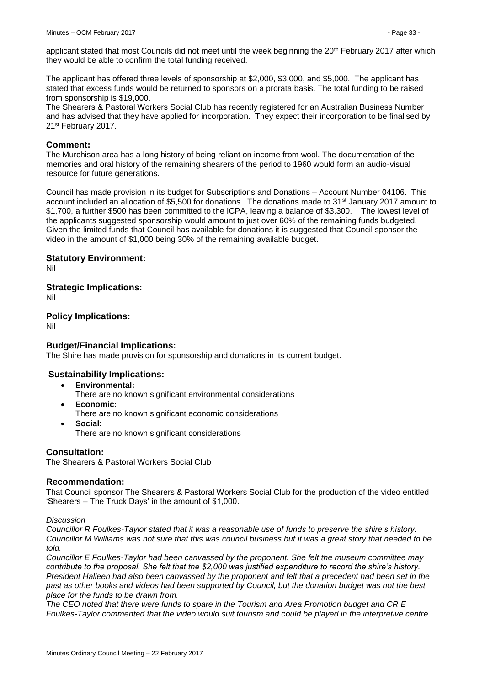applicant stated that most Councils did not meet until the week beginning the 20<sup>th</sup> February 2017 after which they would be able to confirm the total funding received.

The applicant has offered three levels of sponsorship at \$2,000, \$3,000, and \$5,000. The applicant has stated that excess funds would be returned to sponsors on a prorata basis. The total funding to be raised from sponsorship is \$19,000.

The Shearers & Pastoral Workers Social Club has recently registered for an Australian Business Number and has advised that they have applied for incorporation. They expect their incorporation to be finalised by 21st February 2017.

## **Comment:**

The Murchison area has a long history of being reliant on income from wool. The documentation of the memories and oral history of the remaining shearers of the period to 1960 would form an audio-visual resource for future generations.

Council has made provision in its budget for Subscriptions and Donations – Account Number 04106. This account included an allocation of \$5,500 for donations. The donations made to 31<sup>st</sup> January 2017 amount to \$1,700, a further \$500 has been committed to the ICPA, leaving a balance of \$3,300. The lowest level of the applicants suggested sponsorship would amount to just over 60% of the remaining funds budgeted. Given the limited funds that Council has available for donations it is suggested that Council sponsor the video in the amount of \$1,000 being 30% of the remaining available budget.

## **Statutory Environment:**

Nil

**Strategic Implications:** Nil

## **Policy Implications:**

Nil

## **Budget/Financial Implications:**

The Shire has made provision for sponsorship and donations in its current budget.

## **Sustainability Implications:**

- **Environmental:**
	- There are no known significant environmental considerations
- **Economic:**
	- There are no known significant economic considerations
- **Social:**
	- There are no known significant considerations

## **Consultation:**

The Shearers & Pastoral Workers Social Club

## **Recommendation:**

That Council sponsor The Shearers & Pastoral Workers Social Club for the production of the video entitled 'Shearers – The Truck Days' in the amount of \$1,000.

#### *Discussion*

*Councillor R Foulkes-Taylor stated that it was a reasonable use of funds to preserve the shire's history. Councillor M Williams was not sure that this was council business but it was a great story that needed to be told.*

*Councillor E Foulkes-Taylor had been canvassed by the proponent. She felt the museum committee may contribute to the proposal. She felt that the \$2,000 was justified expenditure to record the shire's history. President Halleen had also been canvassed by the proponent and felt that a precedent had been set in the past as other books and videos had been supported by Council, but the donation budget was not the best place for the funds to be drawn from.*

*The CEO noted that there were funds to spare in the Tourism and Area Promotion budget and CR E Foulkes-Taylor commented that the video would suit tourism and could be played in the interpretive centre.*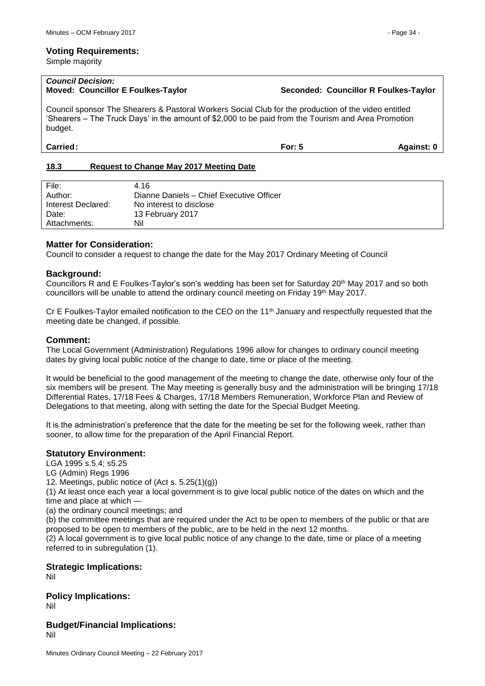#### **Voting Requirements:**

Simple majority

# *Council Decision:*

### **Moved: Councillor E Foulkes-Taylor Seconded: Councillor R Foulkes-Taylor**

Council sponsor The Shearers & Pastoral Workers Social Club for the production of the video entitled 'Shearers – The Truck Days' in the amount of \$2,000 to be paid from the Tourism and Area Promotion budget.

**Carried: For: 5 Against: 0**

## <span id="page-33-0"></span>**18.3 Request to Change May 2017 Meeting Date**

| File:              | 4.16                                     |
|--------------------|------------------------------------------|
| Author:            | Dianne Daniels - Chief Executive Officer |
| Interest Declared: | No interest to disclose                  |
| Date:              | 13 February 2017                         |
| Attachments:       | Nil                                      |
|                    |                                          |

## **Matter for Consideration:**

Council to consider a request to change the date for the May 2017 Ordinary Meeting of Council

## **Background:**

Councillors R and E Foulkes-Taylor's son's wedding has been set for Saturday 20th May 2017 and so both councillors will be unable to attend the ordinary council meeting on Friday 19<sup>th</sup> May 2017.

Cr E Foulkes-Taylor emailed notification to the CEO on the  $11<sup>th</sup>$  January and respectfully requested that the meeting date be changed, if possible.

## **Comment:**

The Local Government (Administration) Regulations 1996 allow for changes to ordinary council meeting dates by giving local public notice of the change to date, time or place of the meeting.

It would be beneficial to the good management of the meeting to change the date, otherwise only four of the six members will be present. The May meeting is generally busy and the administration will be bringing 17/18 Differential Rates, 17/18 Fees & Charges, 17/18 Members Remuneration, Workforce Plan and Review of Delegations to that meeting, along with setting the date for the Special Budget Meeting.

It is the administration's preference that the date for the meeting be set for the following week, rather than sooner, to allow time for the preparation of the April Financial Report.

## **Statutory Environment:**

LGA 1995 s.5.4; s5.25

LG (Admin) Regs 1996

12. Meetings, public notice of (Act s. 5.25(1)(g))

(1) At least once each year a local government is to give local public notice of the dates on which and the time and place at which -

(a) the ordinary council meetings; and

(b) the committee meetings that are required under the Act to be open to members of the public or that are proposed to be open to members of the public, are to be held in the next 12 months.

(2) A local government is to give local public notice of any change to the date, time or place of a meeting referred to in subregulation (1).

## **Strategic Implications:**

Nil

**Policy Implications:** Nil

**Budget/Financial Implications:** Nil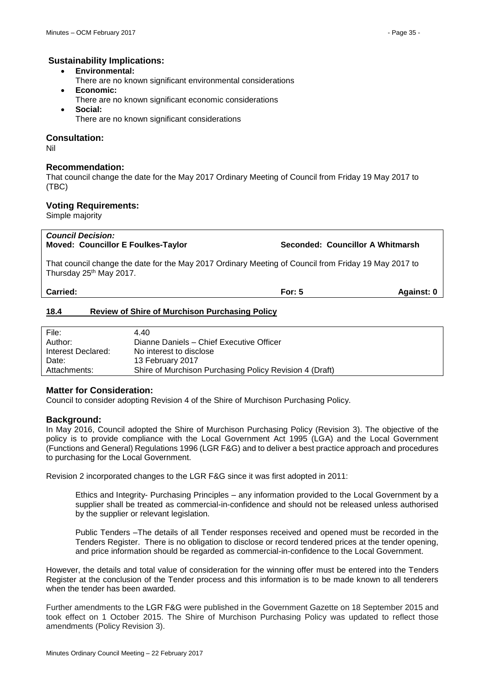- **Environmental:**
- There are no known significant environmental considerations
- **Economic:**
- There are no known significant economic considerations
- **Social:**
	- There are no known significant considerations

## **Consultation:**

Nil

## **Recommendation:**

That council change the date for the May 2017 Ordinary Meeting of Council from Friday 19 May 2017 to (TBC)

## **Voting Requirements:**

Simple majority

| Carried:                                                                                                                                      | For: $5$ | Against: 0                       |
|-----------------------------------------------------------------------------------------------------------------------------------------------|----------|----------------------------------|
| That council change the date for the May 2017 Ordinary Meeting of Council from Friday 19 May 2017 to<br>  Thursday 25 <sup>th</sup> May 2017. |          |                                  |
| <b>Council Decision:</b><br><b>Moved: Councillor E Foulkes-Taylor</b>                                                                         |          | Seconded: Councillor A Whitmarsh |

## <span id="page-34-0"></span>**18.4 Review of Shire of Murchison Purchasing Policy**

| File:              | 4.40                                                    |
|--------------------|---------------------------------------------------------|
| Author:            | Dianne Daniels - Chief Executive Officer                |
| Interest Declared: | No interest to disclose                                 |
| Date:              | 13 February 2017                                        |
| Attachments:       | Shire of Murchison Purchasing Policy Revision 4 (Draft) |

## **Matter for Consideration:**

Council to consider adopting Revision 4 of the Shire of Murchison Purchasing Policy.

## **Background:**

In May 2016, Council adopted the Shire of Murchison Purchasing Policy (Revision 3). The objective of the policy is to provide compliance with the Local Government Act 1995 (LGA) and the Local Government (Functions and General) Regulations 1996 (LGR F&G) and to deliver a best practice approach and procedures to purchasing for the Local Government.

Revision 2 incorporated changes to the LGR F&G since it was first adopted in 2011:

Ethics and Integrity- Purchasing Principles – any information provided to the Local Government by a supplier shall be treated as commercial-in-confidence and should not be released unless authorised by the supplier or relevant legislation.

Public Tenders –The details of all Tender responses received and opened must be recorded in the Tenders Register. There is no obligation to disclose or record tendered prices at the tender opening, and price information should be regarded as commercial-in-confidence to the Local Government.

However, the details and total value of consideration for the winning offer must be entered into the Tenders Register at the conclusion of the Tender process and this information is to be made known to all tenderers when the tender has been awarded.

Further amendments to the LGR F&G were published in the Government Gazette on 18 September 2015 and took effect on 1 October 2015. The Shire of Murchison Purchasing Policy was updated to reflect those amendments (Policy Revision 3).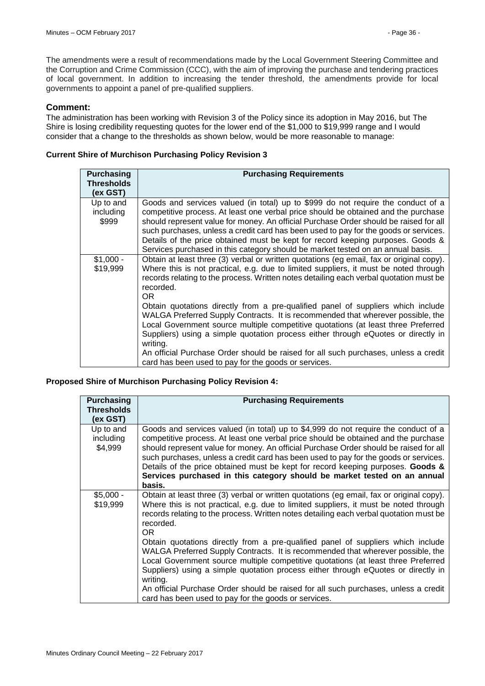The amendments were a result of recommendations made by the Local Government Steering Committee and the Corruption and Crime Commission (CCC), with the aim of improving the purchase and tendering practices of local government. In addition to increasing the tender threshold, the amendments provide for local governments to appoint a panel of pre-qualified suppliers.

## **Comment:**

The administration has been working with Revision 3 of the Policy since its adoption in May 2016, but The Shire is losing credibility requesting quotes for the lower end of the \$1,000 to \$19,999 range and I would consider that a change to the thresholds as shown below, would be more reasonable to manage:

## **Current Shire of Murchison Purchasing Policy Revision 3**

| <b>Purchasing</b><br><b>Thresholds</b> | <b>Purchasing Requirements</b>                                                                                                                                                                                                                                                                                                                                                                                                                                                                                                |
|----------------------------------------|-------------------------------------------------------------------------------------------------------------------------------------------------------------------------------------------------------------------------------------------------------------------------------------------------------------------------------------------------------------------------------------------------------------------------------------------------------------------------------------------------------------------------------|
| (ex GST)                               |                                                                                                                                                                                                                                                                                                                                                                                                                                                                                                                               |
| Up to and<br>including<br>\$999        | Goods and services valued (in total) up to \$999 do not require the conduct of a<br>competitive process. At least one verbal price should be obtained and the purchase<br>should represent value for money. An official Purchase Order should be raised for all<br>such purchases, unless a credit card has been used to pay for the goods or services.<br>Details of the price obtained must be kept for record keeping purposes. Goods &<br>Services purchased in this category should be market tested on an annual basis. |
| $$1,000 -$<br>\$19,999                 | Obtain at least three (3) verbal or written quotations (eg email, fax or original copy).<br>Where this is not practical, e.g. due to limited suppliers, it must be noted through<br>records relating to the process. Written notes detailing each verbal quotation must be<br>recorded.<br>OR.                                                                                                                                                                                                                                |
|                                        | Obtain quotations directly from a pre-qualified panel of suppliers which include<br>WALGA Preferred Supply Contracts. It is recommended that wherever possible, the<br>Local Government source multiple competitive quotations (at least three Preferred<br>Suppliers) using a simple quotation process either through eQuotes or directly in<br>writing.                                                                                                                                                                     |
|                                        | An official Purchase Order should be raised for all such purchases, unless a credit<br>card has been used to pay for the goods or services.                                                                                                                                                                                                                                                                                                                                                                                   |

## **Proposed Shire of Murchison Purchasing Policy Revision 4:**

| <b>Purchasing</b>                 | <b>Purchasing Requirements</b>                                                                                                                                                                                                                                                                                                                                                                                                                                                                                                     |
|-----------------------------------|------------------------------------------------------------------------------------------------------------------------------------------------------------------------------------------------------------------------------------------------------------------------------------------------------------------------------------------------------------------------------------------------------------------------------------------------------------------------------------------------------------------------------------|
| <b>Thresholds</b><br>(ex GST)     |                                                                                                                                                                                                                                                                                                                                                                                                                                                                                                                                    |
| Up to and<br>including<br>\$4,999 | Goods and services valued (in total) up to \$4,999 do not require the conduct of a<br>competitive process. At least one verbal price should be obtained and the purchase<br>should represent value for money. An official Purchase Order should be raised for all<br>such purchases, unless a credit card has been used to pay for the goods or services.<br>Details of the price obtained must be kept for record keeping purposes. Goods &<br>Services purchased in this category should be market tested on an annual<br>basis. |
| $$5,000 -$<br>\$19,999            | Obtain at least three (3) verbal or written quotations (eg email, fax or original copy).<br>Where this is not practical, e.g. due to limited suppliers, it must be noted through<br>records relating to the process. Written notes detailing each verbal quotation must be<br>recorded.<br>OR.                                                                                                                                                                                                                                     |
|                                   | Obtain quotations directly from a pre-qualified panel of suppliers which include<br>WALGA Preferred Supply Contracts. It is recommended that wherever possible, the<br>Local Government source multiple competitive quotations (at least three Preferred<br>Suppliers) using a simple quotation process either through eQuotes or directly in<br>writing.                                                                                                                                                                          |
|                                   | An official Purchase Order should be raised for all such purchases, unless a credit<br>card has been used to pay for the goods or services.                                                                                                                                                                                                                                                                                                                                                                                        |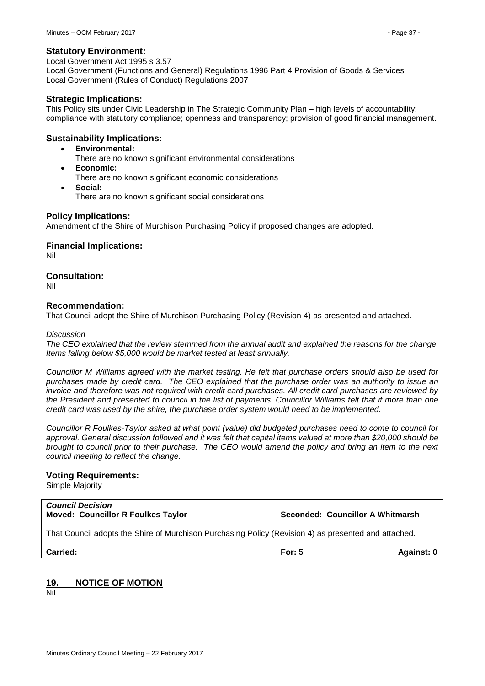### **Statutory Environment:**

Local Government Act 1995 s 3.57 Local Government (Functions and General) Regulations 1996 Part 4 Provision of Goods & Services Local Government (Rules of Conduct) Regulations 2007

#### **Strategic Implications:**

This Policy sits under Civic Leadership in The Strategic Community Plan – high levels of accountability; compliance with statutory compliance; openness and transparency; provision of good financial management.

## **Sustainability Implications:**

- **Environmental:**
	- There are no known significant environmental considerations
- **Economic:** There are no known significant economic considerations
- **Social:** There are no known significant social considerations

### **Policy Implications:**

Amendment of the Shire of Murchison Purchasing Policy if proposed changes are adopted.

**Financial Implications:**

Nil

## **Consultation:**

Nil

## **Recommendation:**

That Council adopt the Shire of Murchison Purchasing Policy (Revision 4) as presented and attached.

#### *Discussion*

*The CEO explained that the review stemmed from the annual audit and explained the reasons for the change. Items falling below \$5,000 would be market tested at least annually.*

*Councillor M Williams agreed with the market testing. He felt that purchase orders should also be used for purchases made by credit card. The CEO explained that the purchase order was an authority to issue an invoice and therefore was not required with credit card purchases. All credit card purchases are reviewed by the President and presented to council in the list of payments. Councillor Williams felt that if more than one credit card was used by the shire, the purchase order system would need to be implemented.*

*Councillor R Foulkes-Taylor asked at what point (value) did budgeted purchases need to come to council for approval. General discussion followed and it was felt that capital items valued at more than \$20,000 should be brought to council prior to their purchase. The CEO would amend the policy and bring an item to the next council meeting to reflect the change.*

#### **Voting Requirements:**

Simple Majority

#### *Council Decision* **Moved: Councillor R Foulkes Taylor Seconded: Councillor A Whitmarsh**

That Council adopts the Shire of Murchison Purchasing Policy (Revision 4) as presented and attached.

**Carried: For: 5 Against: 0**

## <span id="page-36-0"></span>**19. NOTICE OF MOTION**

Nil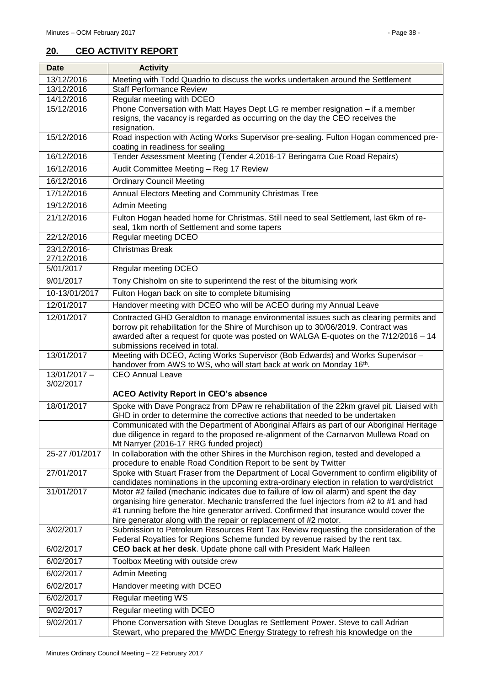## <span id="page-37-0"></span>**20. CEO ACTIVITY REPORT**

| <b>Date</b>                 | <b>Activity</b>                                                                                                                                                                    |
|-----------------------------|------------------------------------------------------------------------------------------------------------------------------------------------------------------------------------|
| 13/12/2016                  | Meeting with Todd Quadrio to discuss the works undertaken around the Settlement                                                                                                    |
| 13/12/2016                  | <b>Staff Performance Review</b>                                                                                                                                                    |
| 14/12/2016                  | Regular meeting with DCEO                                                                                                                                                          |
| 15/12/2016                  | Phone Conversation with Matt Hayes Dept LG re member resignation - if a member<br>resigns, the vacancy is regarded as occurring on the day the CEO receives the                    |
|                             | resignation.                                                                                                                                                                       |
| 15/12/2016                  | Road inspection with Acting Works Supervisor pre-sealing. Fulton Hogan commenced pre-                                                                                              |
|                             | coating in readiness for sealing                                                                                                                                                   |
| 16/12/2016                  | Tender Assessment Meeting (Tender 4.2016-17 Beringarra Cue Road Repairs)                                                                                                           |
| 16/12/2016                  | Audit Committee Meeting - Reg 17 Review                                                                                                                                            |
| 16/12/2016                  | <b>Ordinary Council Meeting</b>                                                                                                                                                    |
| 17/12/2016                  | Annual Electors Meeting and Community Christmas Tree                                                                                                                               |
| 19/12/2016                  | <b>Admin Meeting</b>                                                                                                                                                               |
| 21/12/2016                  | Fulton Hogan headed home for Christmas. Still need to seal Settlement, last 6km of re-                                                                                             |
|                             | seal, 1km north of Settlement and some tapers                                                                                                                                      |
| 22/12/2016                  | <b>Regular meeting DCEO</b>                                                                                                                                                        |
| 23/12/2016-                 | <b>Christmas Break</b>                                                                                                                                                             |
| 27/12/2016<br>5/01/2017     | Regular meeting DCEO                                                                                                                                                               |
| 9/01/2017                   |                                                                                                                                                                                    |
|                             | Tony Chisholm on site to superintend the rest of the bitumising work                                                                                                               |
| 10-13/01/2017               | Fulton Hogan back on site to complete bitumising                                                                                                                                   |
| 12/01/2017                  | Handover meeting with DCEO who will be ACEO during my Annual Leave                                                                                                                 |
| 12/01/2017                  | Contracted GHD Geraldton to manage environmental issues such as clearing permits and                                                                                               |
|                             | borrow pit rehabilitation for the Shire of Murchison up to 30/06/2019. Contract was<br>awarded after a request for quote was posted on WALGA E-quotes on the 7/12/2016 - 14        |
|                             | submissions received in total.                                                                                                                                                     |
| 13/01/2017                  | Meeting with DCEO, Acting Works Supervisor (Bob Edwards) and Works Supervisor -                                                                                                    |
|                             | handover from AWS to WS, who will start back at work on Monday 16th.                                                                                                               |
| $13/01/2017 -$<br>3/02/2017 | <b>CEO Annual Leave</b>                                                                                                                                                            |
|                             | <b>ACEO Activity Report in CEO's absence</b>                                                                                                                                       |
| 18/01/2017                  | Spoke with Dave Pongracz from DPaw re rehabilitation of the 22km gravel pit. Liaised with                                                                                          |
|                             | GHD in order to determine the corrective actions that needed to be undertaken                                                                                                      |
|                             | Communicated with the Department of Aboriginal Affairs as part of our Aboriginal Heritage                                                                                          |
|                             | due diligence in regard to the proposed re-alignment of the Carnarvon Mullewa Road on                                                                                              |
| 25-27 /01/2017              | Mt Narryer (2016-17 RRG funded project)<br>In collaboration with the other Shires in the Murchison region, tested and developed a                                                  |
|                             | procedure to enable Road Condition Report to be sent by Twitter                                                                                                                    |
| 27/01/2017                  | Spoke with Stuart Fraser from the Department of Local Government to confirm eligibility of                                                                                         |
|                             | candidates nominations in the upcoming extra-ordinary election in relation to ward/district                                                                                        |
| 31/01/2017                  | Motor #2 failed (mechanic indicates due to failure of low oil alarm) and spent the day                                                                                             |
|                             | organising hire generator. Mechanic transferred the fuel injectors from #2 to #1 and had<br>#1 running before the hire generator arrived. Confirmed that insurance would cover the |
|                             | hire generator along with the repair or replacement of #2 motor.                                                                                                                   |
| 3/02/2017                   | Submission to Petroleum Resources Rent Tax Review requesting the consideration of the                                                                                              |
|                             | Federal Royalties for Regions Scheme funded by revenue raised by the rent tax.                                                                                                     |
| 6/02/2017                   | CEO back at her desk. Update phone call with President Mark Halleen                                                                                                                |
| 6/02/2017                   | Toolbox Meeting with outside crew                                                                                                                                                  |
| 6/02/2017                   | <b>Admin Meeting</b>                                                                                                                                                               |
| 6/02/2017                   | Handover meeting with DCEO                                                                                                                                                         |
| 6/02/2017                   | Regular meeting WS                                                                                                                                                                 |
| 9/02/2017                   | Regular meeting with DCEO                                                                                                                                                          |
| 9/02/2017                   | Phone Conversation with Steve Douglas re Settlement Power. Steve to call Adrian                                                                                                    |
|                             | Stewart, who prepared the MWDC Energy Strategy to refresh his knowledge on the                                                                                                     |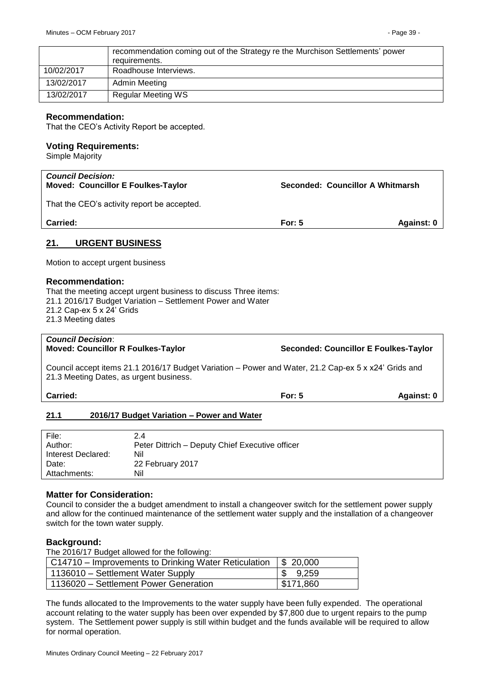|            | recommendation coming out of the Strategy re the Murchison Settlements' power<br>requirements. |
|------------|------------------------------------------------------------------------------------------------|
| 10/02/2017 | Roadhouse Interviews.                                                                          |
| 13/02/2017 | Admin Meeting                                                                                  |
| 13/02/2017 | <b>Regular Meeting WS</b>                                                                      |

### **Recommendation:**

That the CEO's Activity Report be accepted.

#### **Voting Requirements:**

Simple Majority

| <b>Council Decision:</b><br><b>Moved: Councillor E Foulkes-Taylor</b> | Seconded: Councillor A Whitmarsh |            |
|-----------------------------------------------------------------------|----------------------------------|------------|
| That the CEO's activity report be accepted.                           |                                  |            |
| <b>Carried:</b>                                                       | For: $5$                         | Against: 0 |
| <b>URGENT BUSINESS</b><br>21.                                         |                                  |            |
| Motion to accept urgent business                                      |                                  |            |

## <span id="page-38-0"></span>**Recommendation:**

That the meeting accept urgent business to discuss Three items: 21.1 2016/17 Budget Variation – Settlement Power and Water 21.2 Cap-ex 5 x 24' Grids 21.3 Meeting dates

# *Council Decision*:

**Moved: Councillor R Foulkes-Taylor Seconded: Councillor E Foulkes-Taylor**

Council accept items 21.1 2016/17 Budget Variation – Power and Water, 21.2 Cap-ex 5 x x24' Grids and 21.3 Meeting Dates, as urgent business.

**Carried: For: 5 Against: 0**

## <span id="page-38-1"></span>**21.1 2016/17 Budget Variation – Power and Water**

| File:              | 2.4                                             |
|--------------------|-------------------------------------------------|
| Author:            | Peter Dittrich - Deputy Chief Executive officer |
| Interest Declared: | Nil                                             |
| Date:              | 22 February 2017                                |
| Attachments:       | Nil                                             |

## **Matter for Consideration:**

Council to consider the a budget amendment to install a changeover switch for the settlement power supply and allow for the continued maintenance of the settlement water supply and the installation of a changeover switch for the town water supply.

## **Background:**

The 2016/17 Budget allowed for the following:

| $\vert$ C14710 – Improvements to Drinking Water Reticulation $\vert$ \$ 20,000 |                     |
|--------------------------------------------------------------------------------|---------------------|
| 1136010 - Settlement Water Supply                                              | $\frac{1}{5}$ 9,259 |
| 1136020 - Settlement Power Generation                                          | \$171,860           |

The funds allocated to the Improvements to the water supply have been fully expended. The operational account relating to the water supply has been over expended by \$7,800 due to urgent repairs to the pump system. The Settlement power supply is still within budget and the funds available will be required to allow for normal operation.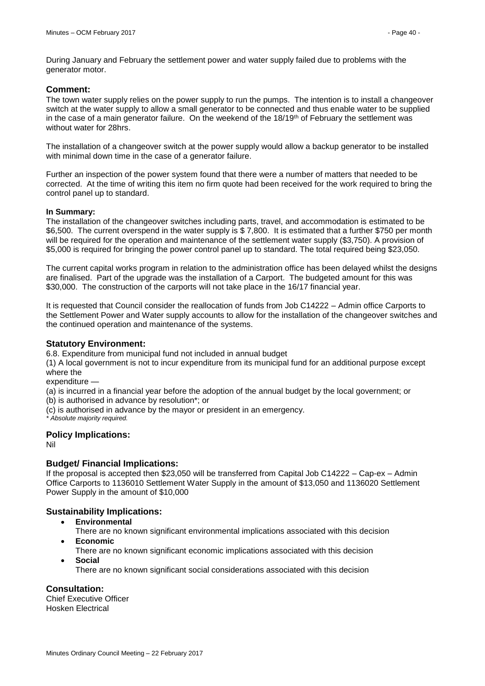During January and February the settlement power and water supply failed due to problems with the generator motor.

### **Comment:**

The town water supply relies on the power supply to run the pumps. The intention is to install a changeover switch at the water supply to allow a small generator to be connected and thus enable water to be supplied in the case of a main generator failure. On the weekend of the 18/19<sup>th</sup> of February the settlement was without water for 28hrs.

The installation of a changeover switch at the power supply would allow a backup generator to be installed with minimal down time in the case of a generator failure.

Further an inspection of the power system found that there were a number of matters that needed to be corrected. At the time of writing this item no firm quote had been received for the work required to bring the control panel up to standard.

#### **In Summary:**

The installation of the changeover switches including parts, travel, and accommodation is estimated to be \$6,500. The current overspend in the water supply is \$ 7,800. It is estimated that a further \$750 per month will be required for the operation and maintenance of the settlement water supply (\$3,750). A provision of \$5,000 is required for bringing the power control panel up to standard. The total required being \$23,050.

The current capital works program in relation to the administration office has been delayed whilst the designs are finalised. Part of the upgrade was the installation of a Carport. The budgeted amount for this was \$30,000. The construction of the carports will not take place in the 16/17 financial year.

It is requested that Council consider the reallocation of funds from Job C14222 – Admin office Carports to the Settlement Power and Water supply accounts to allow for the installation of the changeover switches and the continued operation and maintenance of the systems.

## **Statutory Environment:**

6.8. Expenditure from municipal fund not included in annual budget

(1) A local government is not to incur expenditure from its municipal fund for an additional purpose except where the

expenditure -

(a) is incurred in a financial year before the adoption of the annual budget by the local government; or

(b) is authorised in advance by resolution\*; or

(c) is authorised in advance by the mayor or president in an emergency.

*\* Absolute majority required.*

## **Policy Implications:**

Nil

## **Budget/ Financial Implications:**

If the proposal is accepted then \$23,050 will be transferred from Capital Job C14222 – Cap-ex – Admin Office Carports to 1136010 Settlement Water Supply in the amount of \$13,050 and 1136020 Settlement Power Supply in the amount of \$10,000

## **Sustainability Implications:**

- **Environmental**
- There are no known significant environmental implications associated with this decision **Economic**
	- There are no known significant economic implications associated with this decision
- **Social**
	- There are no known significant social considerations associated with this decision

## **Consultation:**

Chief Executive Officer Hosken Electrical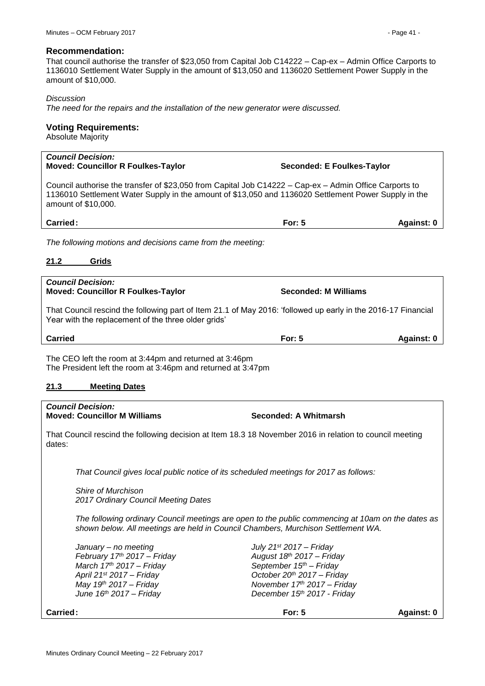#### **Recommendation:**

That council authorise the transfer of \$23,050 from Capital Job C14222 – Cap-ex – Admin Office Carports to 1136010 Settlement Water Supply in the amount of \$13,050 and 1136020 Settlement Power Supply in the amount of \$10,000.

#### *Discussion*

*The need for the repairs and the installation of the new generator were discussed.*

### **Voting Requirements:**

Absolute Majority

# *Council Decision:*  **Moved: Councillor R Foulkes-Taylor Seconded: E Foulkes-Taylor** Council authorise the transfer of \$23,050 from Capital Job C14222 – Cap-ex – Admin Office Carports to 1136010 Settlement Water Supply in the amount of \$13,050 and 1136020 Settlement Power Supply in the amount of \$10,000. **Carried: For: 5 Against: 0**

*The following motions and decisions came from the meeting:*

### <span id="page-40-0"></span>**21.2 Grids**

| <b>Council Decision:</b><br><b>Moved: Councillor R Foulkes-Taylor</b>                                                                                                | Seconded: M Williams |            |  |
|----------------------------------------------------------------------------------------------------------------------------------------------------------------------|----------------------|------------|--|
| That Council rescind the following part of Item 21.1 of May 2016: 'followed up early in the 2016-17 Financial<br>Year with the replacement of the three older grids' |                      |            |  |
| <b>Carried</b>                                                                                                                                                       | For: $5$             | Against: 0 |  |
| The CEO left the room at 3:44pm and returned at 3:46pm<br>The President left the room at 3:46pm and returned at 3:47pm                                               |                      |            |  |

#### <span id="page-40-1"></span>**21.3 Meeting Dates**

# *Council Decision:*  **Moved: Councillor M Williams Seconded: A Whitmarsh** That Council rescind the following decision at Item 18.3 18 November 2016 in relation to council meeting dates: *That Council gives local public notice of its scheduled meetings for 2017 as follows:*

*Shire of Murchison 2017 Ordinary Council Meeting Dates*

*The following ordinary Council meetings are open to the public commencing at 10am on the dates as shown below. All meetings are held in Council Chambers, Murchison Settlement WA.*

*January – no meeting July 21st 2017 – Friday February 17th 2017 – Friday August 18th 2017 – Friday March 17th 2017 – Friday September 15th – Friday April 21st 2017 – Friday October 20th 2017 – Friday May 19th 2017 – Friday November 17th 2017 – Friday June 16th 2017 – Friday December 15th 2017 - Friday*

| Carried: | For: $5$ | <b>Against:</b> |
|----------|----------|-----------------|
|----------|----------|-----------------|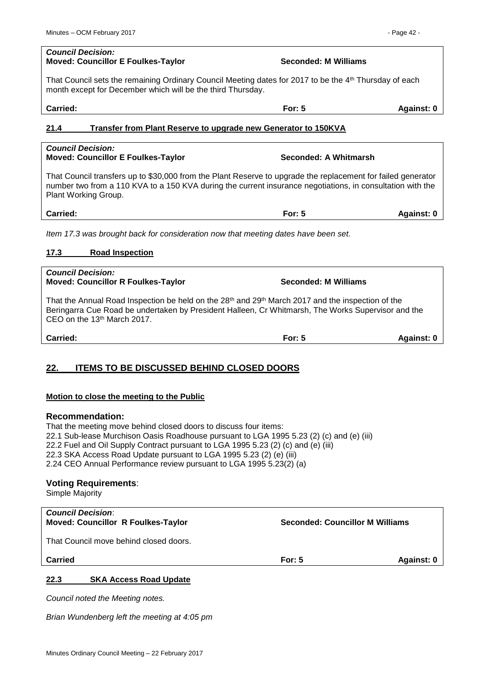#### *Council Decision:*  **Moved: Councillor E Foulkes-Taylor Seconded: M Williams**

That Council sets the remaining Ordinary Council Meeting dates for 2017 to be the 4<sup>th</sup> Thursday of each month except for December which will be the third Thursday.

**Carried: For: 5 Against: 0**

## <span id="page-41-0"></span>**21.4 Transfer from Plant Reserve to upgrade new Generator to 150KVA**

#### *Council Decision:*  **Moved: Councillor E Foulkes-Taylor Seconded: A Whitmarsh**

That Council transfers up to \$30,000 from the Plant Reserve to upgrade the replacement for failed generator number two from a 110 KVA to a 150 KVA during the current insurance negotiations, in consultation with the Plant Working Group.

**Carried: For: 5 Against: 0**

*Item 17.3 was brought back for consideration now that meeting dates have been set.*

## <span id="page-41-1"></span>**17.3 Road Inspection**

### *Council Decision:*  **Moved: Councillor R Foulkes-Taylor Seconded: M Williams**

That the Annual Road Inspection be held on the 28<sup>th</sup> and 29<sup>th</sup> March 2017 and the inspection of the Beringarra Cue Road be undertaken by President Halleen, Cr Whitmarsh, The Works Supervisor and the CEO on the 13th March 2017.

## <span id="page-41-2"></span>**22. ITEMS TO BE DISCUSSED BEHIND CLOSED DOORS**

## **Motion to close the meeting to the Public**

## **Recommendation:**

That the meeting move behind closed doors to discuss four items: 22.1 Sub-lease Murchison Oasis Roadhouse pursuant to LGA 1995 5.23 (2) (c) and (e) (iii) 22.2 Fuel and Oil Supply Contract pursuant to LGA 1995 5.23 (2) (c) and (e) (iii) 22.3 SKA Access Road Update pursuant to LGA 1995 5.23 (2) (e) (iii) 2.24 CEO Annual Performance review pursuant to LGA 1995 5.23(2) (a)

## **Voting Requirements**:

Simple Majority

| <b>Council Decision:</b><br><b>Moved: Councillor R Foulkes-Taylor</b> | <b>Seconded: Councillor M Williams</b> |            |
|-----------------------------------------------------------------------|----------------------------------------|------------|
| That Council move behind closed doors.                                |                                        |            |
| <b>Carried</b>                                                        | For: $5$                               | Against: 0 |
| 22.3<br><b>SKA Access Road Update</b>                                 |                                        |            |

<span id="page-41-3"></span>*Council noted the Meeting notes.*

*Brian Wundenberg left the meeting at 4:05 pm*

**Carried: For: 5 Against: 0**